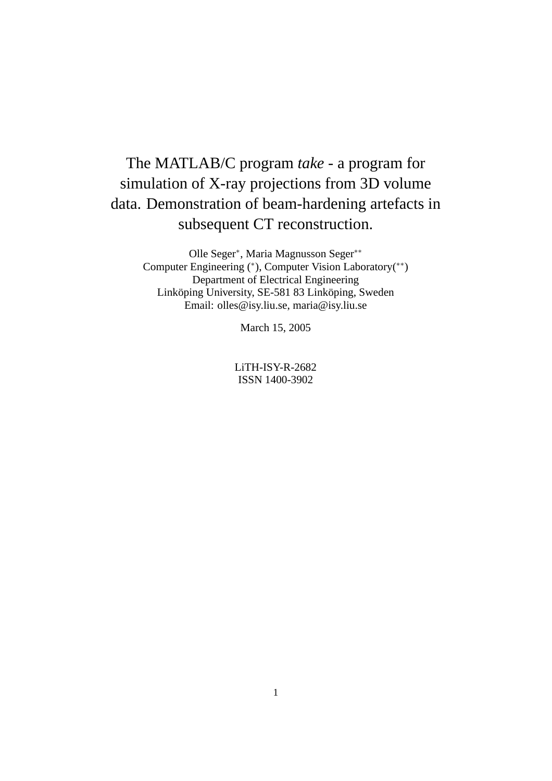# The MATLAB/C program *take* - a program for simulation of X-ray projections from 3D volume data. Demonstration of beam-hardening artefacts in subsequent CT reconstruction.

Olle Seger∗, Maria Magnusson Seger∗∗ Computer Engineering (∗), Computer Vision Laboratory(∗∗) Department of Electrical Engineering Linköping University, SE-581 83 Linköping, Sweden Email: olles@isy.liu.se, maria@isy.liu.se

March 15, 2005

LiTH-ISY-R-2682 ISSN 1400-3902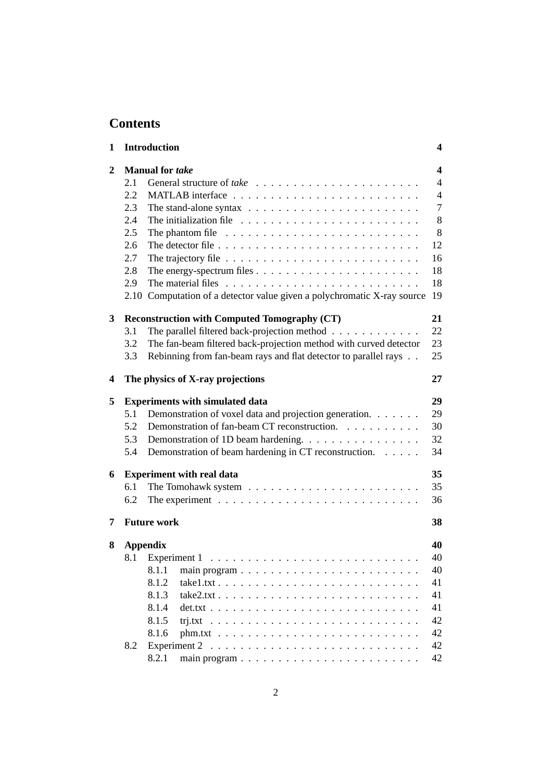# **Contents**

| 1 |                        | <b>Introduction</b>                                                                  | 4              |  |  |  |
|---|------------------------|--------------------------------------------------------------------------------------|----------------|--|--|--|
| 2 | <b>Manual for take</b> |                                                                                      |                |  |  |  |
|   | 2.1                    |                                                                                      | $\overline{4}$ |  |  |  |
|   | 2.2                    |                                                                                      | $\overline{4}$ |  |  |  |
|   | 2.3                    | The stand-alone syntax $\ldots \ldots \ldots \ldots \ldots \ldots \ldots \ldots$     | $\overline{7}$ |  |  |  |
|   | 2.4                    |                                                                                      | 8              |  |  |  |
|   | 2.5                    | The phantom file $\ldots \ldots \ldots \ldots \ldots \ldots \ldots \ldots \ldots$    | 8              |  |  |  |
|   | 2.6                    | The detector file $\ldots \ldots \ldots \ldots \ldots \ldots \ldots \ldots \ldots$   | 12             |  |  |  |
|   | 2.7                    | The trajectory file $\ldots \ldots \ldots \ldots \ldots \ldots \ldots \ldots \ldots$ | 16             |  |  |  |
|   | 2.8                    |                                                                                      | 18             |  |  |  |
|   | 2.9                    |                                                                                      | 18             |  |  |  |
|   |                        | 2.10 Computation of a detector value given a polychromatic X-ray source              | 19             |  |  |  |
| 3 |                        | <b>Reconstruction with Computed Tomography (CT)</b>                                  | 21             |  |  |  |
|   | 3.1                    | The parallel filtered back-projection method                                         | 22             |  |  |  |
|   | 3.2                    | The fan-beam filtered back-projection method with curved detector                    | 23             |  |  |  |
|   | 3.3                    | Rebinning from fan-beam rays and flat detector to parallel rays                      | 25             |  |  |  |
| 4 |                        | The physics of X-ray projections                                                     | 27             |  |  |  |
| 5 |                        | <b>Experiments with simulated data</b>                                               |                |  |  |  |
|   | 5.1                    | Demonstration of voxel data and projection generation.                               | 29             |  |  |  |
|   | 5.2                    | Demonstration of fan-beam CT reconstruction.                                         | 30             |  |  |  |
|   | 5.3                    | Demonstration of 1D beam hardening.                                                  | 32             |  |  |  |
|   | 5.4                    | Demonstration of beam hardening in CT reconstruction.                                | 34             |  |  |  |
| 6 |                        | <b>Experiment with real data</b>                                                     | 35             |  |  |  |
|   | 6.1                    |                                                                                      | 35             |  |  |  |
|   | 6.2                    | The experiment $\ldots \ldots \ldots \ldots \ldots \ldots \ldots \ldots \ldots$      | 36             |  |  |  |
| 7 |                        | <b>Future work</b>                                                                   | 38             |  |  |  |
| 8 |                        | <b>Appendix</b>                                                                      | 40             |  |  |  |
|   |                        | 8.1 Experiment 1                                                                     | 40             |  |  |  |
|   |                        | 8.1.1                                                                                | 40             |  |  |  |
|   |                        | 8.1.2                                                                                | 41             |  |  |  |
|   |                        | 8.1.3<br>$take2.txt$                                                                 | 41             |  |  |  |
|   |                        | 8.1.4                                                                                | 41             |  |  |  |
|   |                        | 8.1.5                                                                                | 42             |  |  |  |
|   |                        | 8.1.6                                                                                | 42             |  |  |  |
|   | 8.2                    |                                                                                      | 42             |  |  |  |
|   |                        | 8.2.1                                                                                | 42             |  |  |  |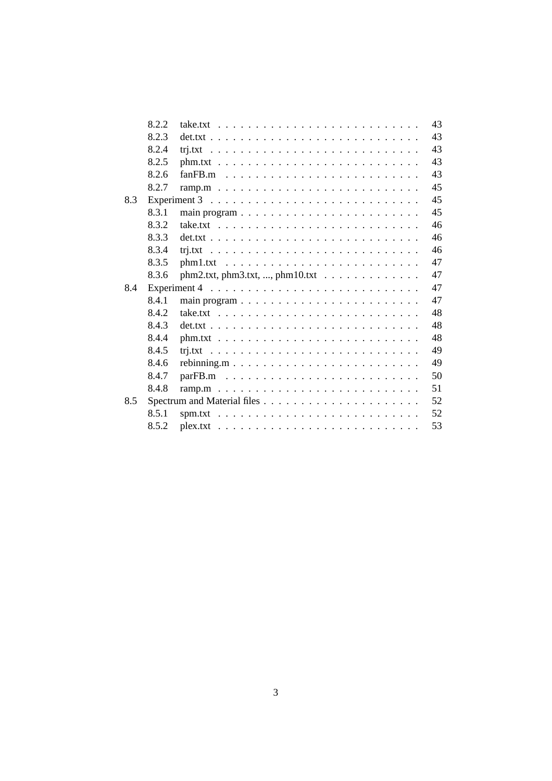|     | 8.2.2 | $take.txt$                                                                           | 43 |
|-----|-------|--------------------------------------------------------------------------------------|----|
|     | 8.2.3 |                                                                                      | 43 |
|     | 8.2.4 |                                                                                      | 43 |
|     | 8.2.5 |                                                                                      | 43 |
|     | 8.2.6 |                                                                                      | 43 |
|     | 8.2.7 |                                                                                      | 45 |
| 8.3 |       | Experiment $3 \ldots \ldots \ldots \ldots \ldots \ldots \ldots \ldots \ldots \ldots$ | 45 |
|     | 8.3.1 |                                                                                      | 45 |
|     | 8.3.2 |                                                                                      | 46 |
|     | 8.3.3 |                                                                                      | 46 |
|     | 8.3.4 |                                                                                      | 46 |
|     | 8.3.5 |                                                                                      | 47 |
|     | 8.3.6 |                                                                                      | 47 |
| 8.4 |       |                                                                                      | 47 |
|     | 8.4.1 |                                                                                      | 47 |
|     | 8.4.2 |                                                                                      | 48 |
|     | 8.4.3 |                                                                                      | 48 |
|     | 8.4.4 |                                                                                      | 48 |
|     | 8.4.5 |                                                                                      | 49 |
|     | 8.4.6 |                                                                                      | 49 |
|     | 8.4.7 |                                                                                      | 50 |
|     | 8.4.8 |                                                                                      | 51 |
| 8.5 |       |                                                                                      | 52 |
|     | 8.5.1 |                                                                                      | 52 |
|     | 8.5.2 |                                                                                      | 53 |
|     |       |                                                                                      |    |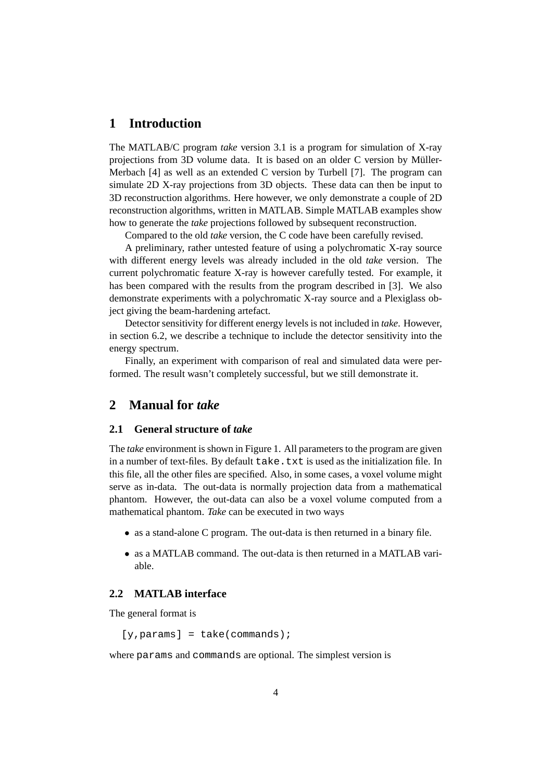# **1 Introduction**

The MATLAB/C program *take* version 3.1 is a program for simulation of X-ray projections from 3D volume data. It is based on an older C version by Müller-Merbach [4] as well as an extended C version by Turbell [7]. The program can simulate 2D X-ray projections from 3D objects. These data can then be input to 3D reconstruction algorithms. Here however, we only demonstrate a couple of 2D reconstruction algorithms, written in MATLAB. Simple MATLAB examples show how to generate the *take* projections followed by subsequent reconstruction.

Compared to the old *take* version, the C code have been carefully revised.

A preliminary, rather untested feature of using a polychromatic X-ray source with different energy levels was already included in the old *take* version. The current polychromatic feature X-ray is however carefully tested. For example, it has been compared with the results from the program described in [3]. We also demonstrate experiments with a polychromatic X-ray source and a Plexiglass object giving the beam-hardening artefact.

Detector sensitivity for different energy levels is not included in *take*. However, in section 6.2, we describe a technique to include the detector sensitivity into the energy spectrum.

Finally, an experiment with comparison of real and simulated data were performed. The result wasn't completely successful, but we still demonstrate it.

# **2 Manual for** *take*

#### **2.1 General structure of** *take*

The *take* environment is shown in Figure 1. All parameters to the program are given in a number of text-files. By default take.txt is used as the initialization file. In this file, all the other files are specified. Also, in some cases, a voxel volume might serve as in-data. The out-data is normally projection data from a mathematical phantom. However, the out-data can also be a voxel volume computed from a mathematical phantom. *Take* can be executed in two ways

- as a stand-alone C program. The out-data is then returned in a binary file.
- as a MATLAB command. The out-data is then returned in a MATLAB variable.

# **2.2 MATLAB interface**

The general format is

```
[y,params] = take(commands);
```
where params and commands are optional. The simplest version is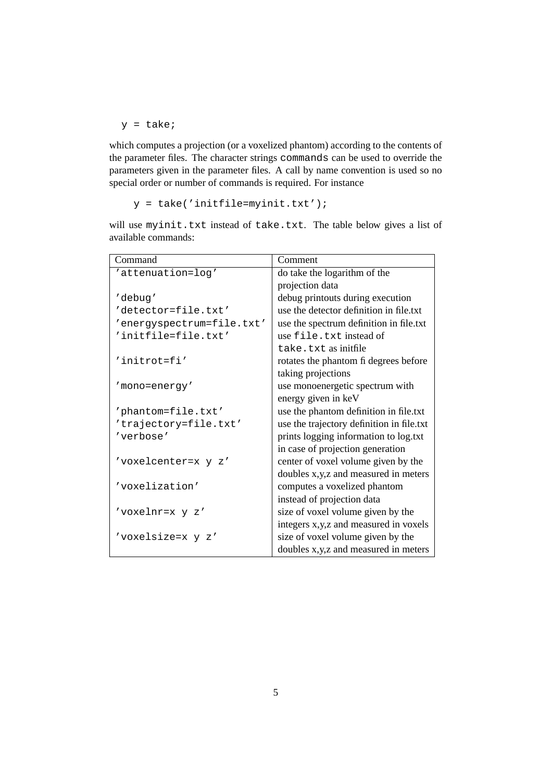$y =$  take;

which computes a projection (or a voxelized phantom) according to the contents of the parameter files. The character strings commands can be used to override the parameters given in the parameter files. A call by name convention is used so no special order or number of commands is required. For instance

 $y =$  take('initfile=myinit.txt');

Command Comment 'attenuation=log' do take the logarithm of the projection data 'debug' debug printouts during execution 'detector=file.txt' use the detector definition in file.txt 'energyspectrum=file.txt' use the spectrum definition in file.txt 'initfile=file.txt' use file.txt instead of take.txt as initfile 'initrot=fi' rotates the phantom fi degrees before taking projections 'mono=energy' use monoenergetic spectrum with energy given in keV  $'$ phantom=file.txt' use the phantom definition in file.txt' 'trajectory=file.txt' use the trajectory definition in file.txt 'verbose' prints logging information to log.txt in case of projection generation 'voxelcenter= $x \ y \ z'$  center of voxel volume given by the doubles x,y,z and measured in meters 'voxelization' computes a voxelized phantom instead of projection data 'voxelnr=x  $\frac{y}{z'}$  z' size of voxel volume given by the integers x,y,z and measured in voxels 'voxelsize=x  $y \, z'$  size of voxel volume given by the doubles x,y,z and measured in meters

will use myinit.txt instead of take.txt. The table below gives a list of available commands: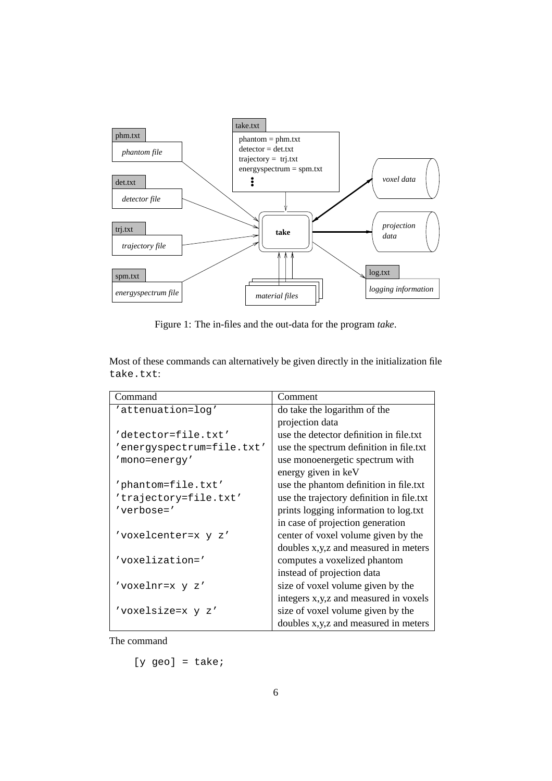

Figure 1: The in-files and the out-data for the program *take*.

Most of these commands can alternatively be given directly in the initialization file take.txt:

| Command                   | Comment                                   |  |  |
|---------------------------|-------------------------------------------|--|--|
| 'attenuation=log'         | do take the logarithm of the              |  |  |
|                           | projection data                           |  |  |
| 'detector=file.txt'       | use the detector definition in file.txt   |  |  |
| 'energyspectrum=file.txt' | use the spectrum definition in file.txt   |  |  |
| 'mono=energy'             | use monoenergetic spectrum with           |  |  |
|                           | energy given in keV                       |  |  |
| 'phantom=file.txt'        | use the phantom definition in file.txt    |  |  |
| 'trajectory=file.txt'     | use the trajectory definition in file.txt |  |  |
| $'$ verbose= $'$          | prints logging information to log.txt     |  |  |
|                           | in case of projection generation          |  |  |
| 'voxelcenter=x y z'       | center of voxel volume given by the       |  |  |
|                           | doubles x,y,z and measured in meters      |  |  |
| 'voxelization='           | computes a voxelized phantom              |  |  |
|                           | instead of projection data                |  |  |
| 'voxelnr=x y z'           | size of voxel volume given by the         |  |  |
|                           | integers x, y, z and measured in voxels   |  |  |
| 'voxelsize=x y z'         | size of voxel volume given by the         |  |  |
|                           | doubles x,y,z and measured in meters      |  |  |

The command

 $[y \text{ geo}] = \text{take:}$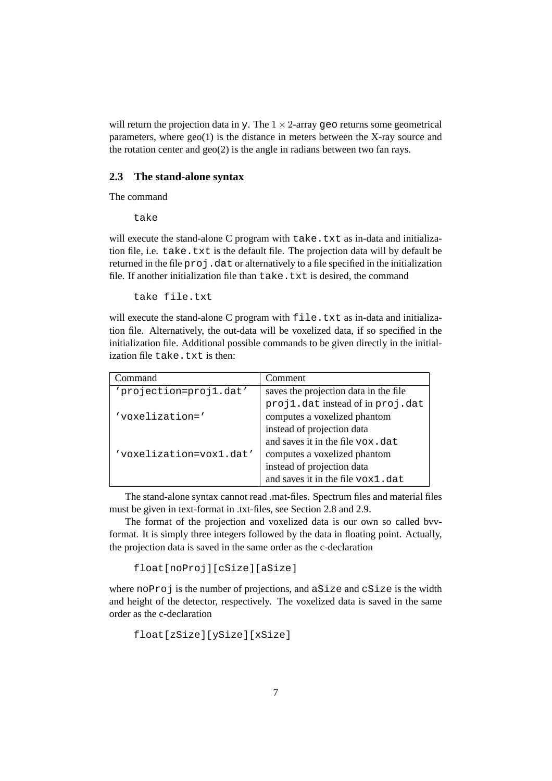will return the projection data in y. The  $1 \times 2$ -array geo returns some geometrical parameters, where geo(1) is the distance in meters between the X-ray source and the rotation center and  $geo(2)$  is the angle in radians between two fan rays.

# **2.3 The stand-alone syntax**

The command

take

will execute the stand-alone C program with take.txt as in-data and initialization file, i.e. take.txt is the default file. The projection data will by default be returned in the file proj.dat or alternatively to a file specified in the initialization file. If another initialization file than take.txt is desired, the command

take file.txt

will execute the stand-alone C program with file.txt as in-data and initialization file. Alternatively, the out-data will be voxelized data, if so specified in the initialization file. Additional possible commands to be given directly in the initialization file take.txt is then:

| Command                 | Comment                               |
|-------------------------|---------------------------------------|
| 'projection=proj1.dat'  | saves the projection data in the file |
|                         | projl.dat instead of in proj.dat      |
| 'voxelization='         | computes a voxelized phantom          |
|                         | instead of projection data            |
|                         | and saves it in the file vox.dat      |
| 'voxelization=vox1.dat' | computes a voxelized phantom          |
|                         | instead of projection data            |
|                         | and saves it in the file vox1.dat     |

The stand-alone syntax cannot read .mat-files. Spectrum files and material files must be given in text-format in .txt-files, see Section 2.8 and 2.9.

The format of the projection and voxelized data is our own so called bvvformat. It is simply three integers followed by the data in floating point. Actually, the projection data is saved in the same order as the c-declaration

float[noProj][cSize][aSize]

where noProj is the number of projections, and aSize and cSize is the width and height of the detector, respectively. The voxelized data is saved in the same order as the c-declaration

float[zSize][ySize][xSize]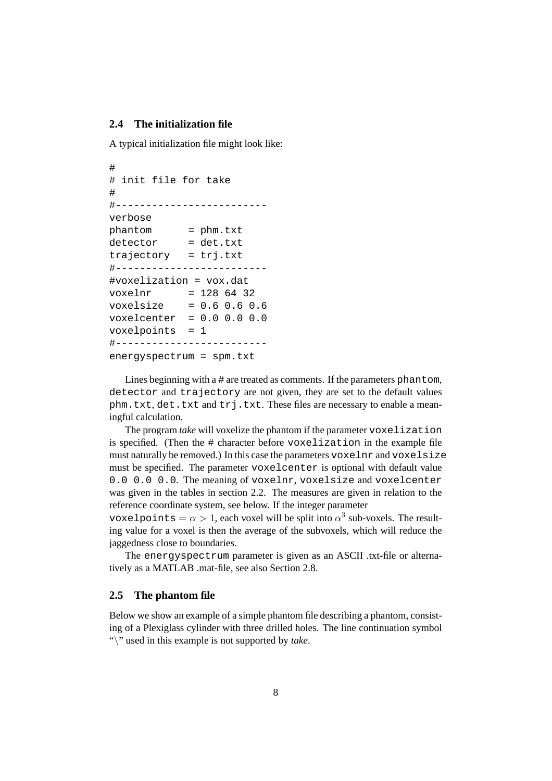#### **2.4 The initialization file**

A typical initialization file might look like:

```
#
# init file for take
#
#-------------------------
verbose
phantom = phm.txt
detector = det.txt
trajectory = trj.txt
#-------------------------
#voxelization = vox.dat
voxelnr = 1286432voxelsize = 0.6 0.6 0.6
voxelcenter = 0.0 0.0 0.0
voxelpoints = 1
#-------------------------
energyspectrum = spm.txt
```
Lines beginning with a # are treated as comments. If the parameters phantom, detector and trajectory are not given, they are set to the default values phm.txt, det.txt and trj.txt. These files are necessary to enable a meaningful calculation.

The program *take* will voxelize the phantom if the parameter voxelization is specified. (Then the # character before voxelization in the example file must naturally be removed.) In this case the parameters voxelnr and voxelsize must be specified. The parameter voxelcenter is optional with default value 0.0 0.0 0.0. The meaning of voxelnr, voxelsize and voxelcenter was given in the tables in section 2.2. The measures are given in relation to the reference coordinate system, see below. If the integer parameter

voxelpoints =  $\alpha > 1$ , each voxel will be split into  $\alpha^3$  sub-voxels. The resulting value for a voxel is then the average of the subvoxels, which will reduce the jaggedness close to boundaries.

The energyspectrum parameter is given as an ASCII .txt-file or alternatively as a MATLAB .mat-file, see also Section 2.8.

#### **2.5 The phantom file**

Below we show an example of a simple phantom file describing a phantom, consisting of a Plexiglass cylinder with three drilled holes. The line continuation symbol "\" used in this example is not supported by *take*.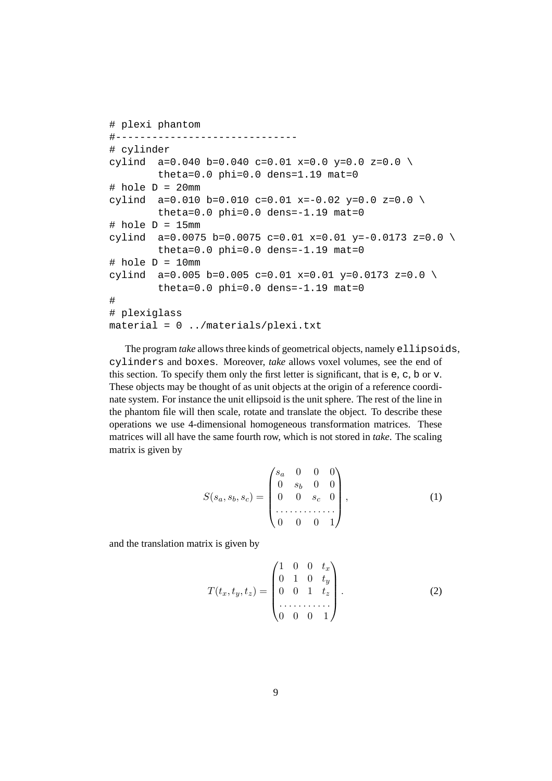```
# plexi phantom
#------------------------------
# cylinder
cylind a=0.040 b=0.040 c=0.01 x=0.0 y=0.0 z=0.0 \
        theta=0.0 phi=0.0 dens=1.19 mat=0
# hole D = 20mm
cylind a=0.010 b=0.010 c=0.01 x=-0.02 y=0.0 z=0.0 \
        theta=0.0 phi=0.0 dens = -1.19 mat=0
# hole D = 15mm
cylind a=0.0075 b=0.0075 c=0.01 x=0.01 y=-0.0173 z=0.0 \
        theta=0.0 phi=0.0 dens=-1.19 mat=0
# hole D = 10mm
cylind a=0.005 b=0.005 c=0.01 x=0.01 y=0.0173 z=0.0 \
        theta=0.0 phi=0.0 dens=-1.19 mat=0
#
# plexiglass
material = 0 ../materials/plexi.txt
```
The program *take* allows three kinds of geometrical objects, namely ellipsoids, cylinders and boxes. Moreover, *take* allows voxel volumes, see the end of this section. To specify them only the first letter is significant, that is e, c, b or v. These objects may be thought of as unit objects at the origin of a reference coordinate system. For instance the unit ellipsoid is the unit sphere. The rest of the line in the phantom file will then scale, rotate and translate the object. To describe these operations we use 4-dimensional homogeneous transformation matrices. These matrices will all have the same fourth row, which is not stored in *take*. The scaling matrix is given by

$$
S(s_a, s_b, s_c) = \begin{pmatrix} s_a & 0 & 0 & 0 \\ 0 & s_b & 0 & 0 \\ 0 & 0 & s_c & 0 \\ \vdots & \vdots & \vdots & \ddots & \vdots \\ 0 & 0 & 0 & 1 \end{pmatrix}, \qquad (1)
$$

and the translation matrix is given by

$$
T(t_x, t_y, t_z) = \begin{pmatrix} 1 & 0 & 0 & t_x \\ 0 & 1 & 0 & t_y \\ 0 & 0 & 1 & t_z \\ \vdots & \vdots & \ddots & \vdots \\ 0 & 0 & 0 & 1 \end{pmatrix} . \tag{2}
$$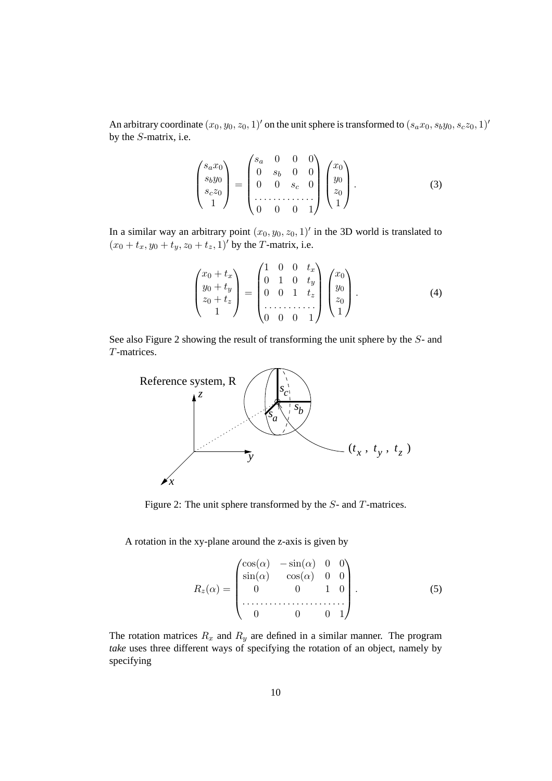An arbitrary coordinate  $(x_0, y_0, z_0, 1)$ ' on the unit sphere is transformed to  $(s_a x_0, s_b y_0, s_c z_0, 1)$ ' by the S-matrix, i.e.

$$
\begin{pmatrix} s_a x_0 \\ s_b y_0 \\ s_c z_0 \\ 1 \end{pmatrix} = \begin{pmatrix} s_a & 0 & 0 & 0 \\ 0 & s_b & 0 & 0 \\ 0 & 0 & s_c & 0 \\ \dots & \dots & \dots & \dots \\ 0 & 0 & 0 & 1 \end{pmatrix} \begin{pmatrix} x_0 \\ y_0 \\ z_0 \\ 1 \end{pmatrix} . \tag{3}
$$

In a similar way an arbitrary point  $(x_0, y_0, z_0, 1)'$  in the 3D world is translated to  $(x_0 + t_x, y_0 + t_y, z_0 + t_z, 1)'$  by the T-matrix, i.e.

$$
\begin{pmatrix} x_0 + t_x \ y_0 + t_y \ z_0 + t_z \end{pmatrix} = \begin{pmatrix} 1 & 0 & 0 & t_x \ 0 & 1 & 0 & t_y \ 0 & 0 & 1 & t_z \ 1 & 0 & 0 & 1 \end{pmatrix} \begin{pmatrix} x_0 \ y_0 \ z_0 \ 1 \end{pmatrix}.
$$
 (4)

See also Figure 2 showing the result of transforming the unit sphere by the S- and T-matrices.



Figure 2: The unit sphere transformed by the S- and T-matrices.

A rotation in the xy-plane around the z-axis is given by

$$
R_z(\alpha) = \begin{pmatrix} \cos(\alpha) & -\sin(\alpha) & 0 & 0 \\ \sin(\alpha) & \cos(\alpha) & 0 & 0 \\ 0 & 0 & 1 & 0 \\ \cdots & \cdots & \cdots & \cdots & \cdots \\ 0 & 0 & 0 & 1 \end{pmatrix}.
$$
 (5)

The rotation matrices  $R_x$  and  $R_y$  are defined in a similar manner. The program *take* uses three different ways of specifying the rotation of an object, namely by specifying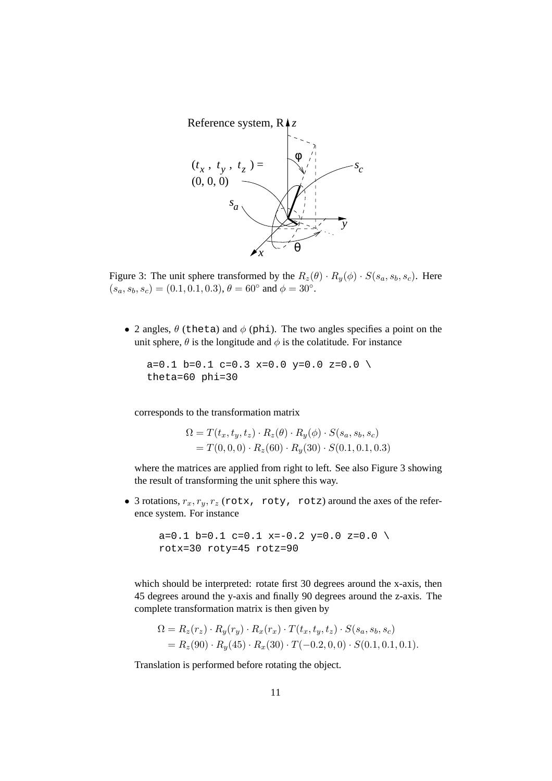

Figure 3: The unit sphere transformed by the  $R_z(\theta) \cdot R_y(\phi) \cdot S(s_a, s_b, s_c)$ . Here  $(s_a, s_b, s_c) = (0.1, 0.1, 0.3), \theta = 60°$  and  $\phi = 30°$ .

• 2 angles,  $\theta$  (theta) and  $\phi$  (phi). The two angles specifies a point on the unit sphere,  $\theta$  is the longitude and  $\phi$  is the colatitude. For instance

 $a=0.1$  b=0.1 c=0.3 x=0.0 y=0.0 z=0.0 \ theta=60 phi=30

corresponds to the transformation matrix

$$
\Omega = T(t_x, t_y, t_z) \cdot R_z(\theta) \cdot R_y(\phi) \cdot S(s_a, s_b, s_c)
$$
  
=  $T(0, 0, 0) \cdot R_z(60) \cdot R_y(30) \cdot S(0.1, 0.1, 0.3)$ 

where the matrices are applied from right to left. See also Figure 3 showing the result of transforming the unit sphere this way.

• 3 rotations,  $r_x, r_y, r_z$  (rotx, roty, rotz) around the axes of the reference system. For instance

```
a=0.1 b=0.1 c=0.1 x=-0.2 y=0.0 z=0.0 \
rotx=30 roty=45 rotz=90
```
which should be interpreted: rotate first 30 degrees around the x-axis, then 45 degrees around the y-axis and finally 90 degrees around the z-axis. The complete transformation matrix is then given by

$$
\Omega = R_z(r_z) \cdot R_y(r_y) \cdot R_x(r_x) \cdot T(t_x, t_y, t_z) \cdot S(s_a, s_b, s_c)
$$
  
=  $R_z(90) \cdot R_y(45) \cdot R_x(30) \cdot T(-0.2, 0, 0) \cdot S(0.1, 0.1, 0.1).$ 

Translation is performed before rotating the object.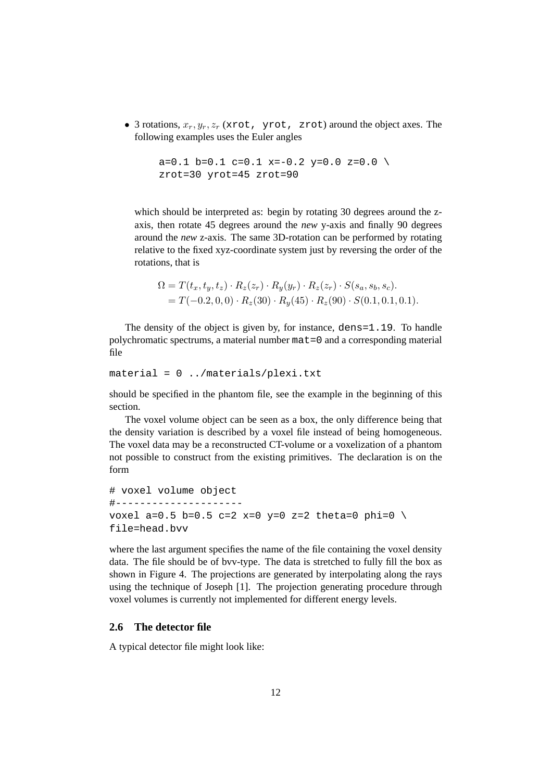• 3 rotations,  $x_r, y_r, z_r$  (xrot, yrot, zrot) around the object axes. The following examples uses the Euler angles

```
a=0.1 b=0.1 c=0.1 x = -0.2 y = 0.0 z = 0.0 \
zrot=30 yrot=45 zrot=90
```
which should be interpreted as: begin by rotating 30 degrees around the zaxis, then rotate 45 degrees around the *new* y-axis and finally 90 degrees around the *new* z-axis. The same 3D-rotation can be performed by rotating relative to the fixed xyz-coordinate system just by reversing the order of the rotations, that is

$$
\Omega = T(t_x, t_y, t_z) \cdot R_z(z_r) \cdot R_y(y_r) \cdot R_z(z_r) \cdot S(s_a, s_b, s_c).
$$
  
=  $T(-0.2, 0, 0) \cdot R_z(30) \cdot R_y(45) \cdot R_z(90) \cdot S(0.1, 0.1, 0.1).$ 

The density of the object is given by, for instance, dens=1.19. To handle polychromatic spectrums, a material number mat=0 and a corresponding material file

```
material = 0 ../materials/plexi.txt
```
should be specified in the phantom file, see the example in the beginning of this section.

The voxel volume object can be seen as a box, the only difference being that the density variation is described by a voxel file instead of being homogeneous. The voxel data may be a reconstructed CT-volume or a voxelization of a phantom not possible to construct from the existing primitives. The declaration is on the form

```
# voxel volume object
#---------------------
voxel a=0.5 b=0.5 c=2 x=0 y=0 z=2 theta=0 phi=0 \
file=head.bvv
```
where the last argument specifies the name of the file containing the voxel density data. The file should be of bvv-type. The data is stretched to fully fill the box as shown in Figure 4. The projections are generated by interpolating along the rays using the technique of Joseph [1]. The projection generating procedure through voxel volumes is currently not implemented for different energy levels.

# **2.6 The detector file**

A typical detector file might look like: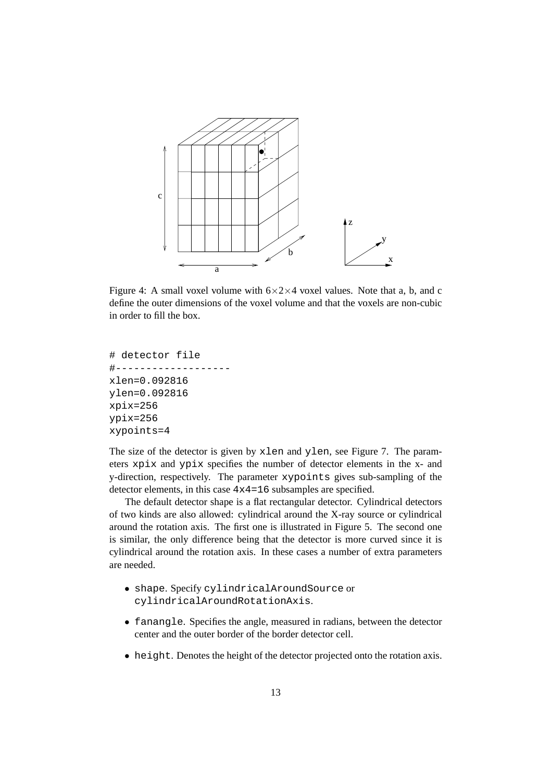

Figure 4: A small voxel volume with  $6 \times 2 \times 4$  voxel values. Note that a, b, and c define the outer dimensions of the voxel volume and that the voxels are non-cubic in order to fill the box.

```
# detector file
#-------------------
xlen=0.092816
ylen=0.092816
xpix=256
ypix=256
xypoints=4
```
The size of the detector is given by xlen and ylen, see Figure 7. The parameters xpix and ypix specifies the number of detector elements in the x- and y-direction, respectively. The parameter xypoints gives sub-sampling of the detector elements, in this case 4x4=16 subsamples are specified.

The default detector shape is a flat rectangular detector. Cylindrical detectors of two kinds are also allowed: cylindrical around the X-ray source or cylindrical around the rotation axis. The first one is illustrated in Figure 5. The second one is similar, the only difference being that the detector is more curved since it is cylindrical around the rotation axis. In these cases a number of extra parameters are needed.

- shape. Specify cylindricalAroundSource or cylindricalAroundRotationAxis.
- fanangle. Specifies the angle, measured in radians, between the detector center and the outer border of the border detector cell.
- height. Denotes the height of the detector projected onto the rotation axis.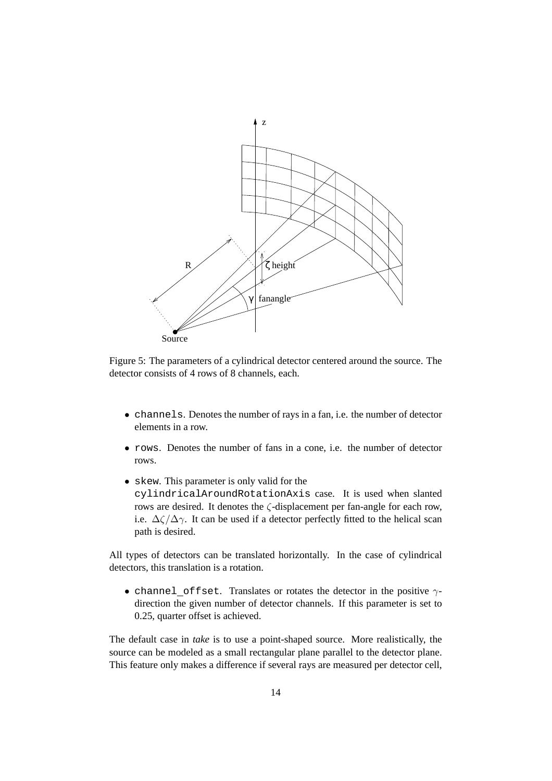

Figure 5: The parameters of a cylindrical detector centered around the source. The detector consists of 4 rows of 8 channels, each.

- channels. Denotes the number of rays in a fan, i.e. the number of detector elements in a row.
- rows. Denotes the number of fans in a cone, i.e. the number of detector rows.
- skew. This parameter is only valid for the cylindricalAroundRotationAxis case. It is used when slanted rows are desired. It denotes the ζ-displacement per fan-angle for each row, i.e.  $\Delta\zeta/\Delta\gamma$ . It can be used if a detector perfectly fitted to the helical scan path is desired.

All types of detectors can be translated horizontally. In the case of cylindrical detectors, this translation is a rotation.

• channel\_offset. Translates or rotates the detector in the positive  $\gamma$ direction the given number of detector channels. If this parameter is set to 0.25, quarter offset is achieved.

The default case in *take* is to use a point-shaped source. More realistically, the source can be modeled as a small rectangular plane parallel to the detector plane. This feature only makes a difference if several rays are measured per detector cell,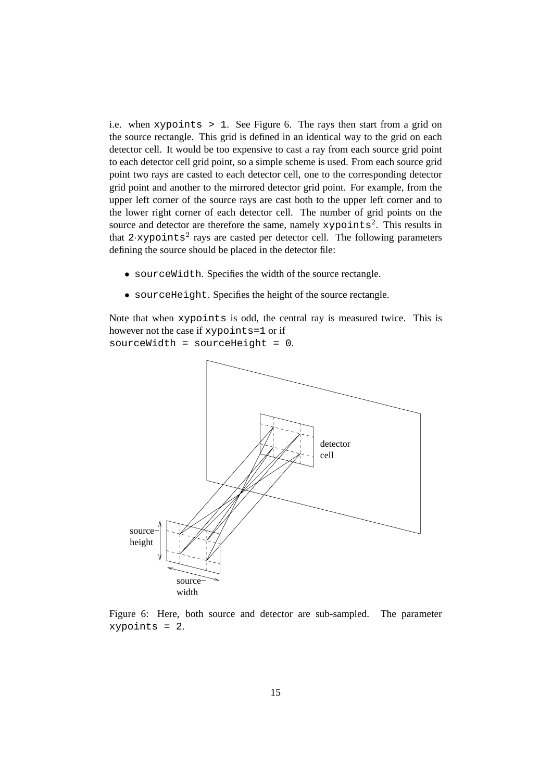i.e. when xypoints > 1. See Figure 6. The rays then start from a grid on the source rectangle. This grid is defined in an identical way to the grid on each detector cell. It would be too expensive to cast a ray from each source grid point to each detector cell grid point, so a simple scheme is used. From each source grid point two rays are casted to each detector cell, one to the corresponding detector grid point and another to the mirrored detector grid point. For example, from the upper left corner of the source rays are cast both to the upper left corner and to the lower right corner of each detector cell. The number of grid points on the source and detector are therefore the same, namely xypoints<sup>2</sup>. This results in that  $2 \cdot xy$  points<sup>2</sup> rays are casted per detector cell. The following parameters defining the source should be placed in the detector file:

- sourceWidth. Specifies the width of the source rectangle.
- sourceHeight. Specifies the height of the source rectangle.

Note that when xypoints is odd, the central ray is measured twice. This is however not the case if xypoints=1 or if sourceWidth = sourceHeight = 0.



Figure 6: Here, both source and detector are sub-sampled. The parameter xypoints = 2.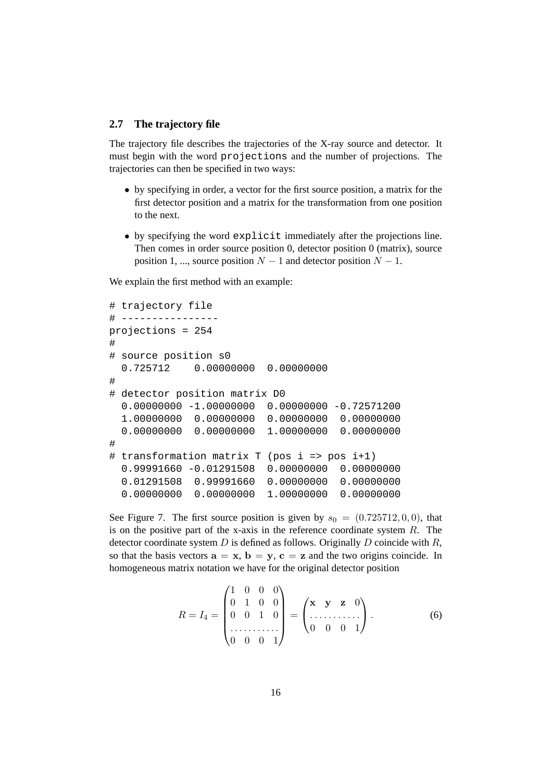#### **2.7 The trajectory file**

The trajectory file describes the trajectories of the X-ray source and detector. It must begin with the word projections and the number of projections. The trajectories can then be specified in two ways:

- by specifying in order, a vector for the first source position, a matrix for the first detector position and a matrix for the transformation from one position to the next.
- by specifying the word explicit immediately after the projections line. Then comes in order source position 0, detector position 0 (matrix), source position 1, ..., source position  $N - 1$  and detector position  $N - 1$ .

We explain the first method with an example:

```
# trajectory file
# ----------------
projections = 254
#
# source position s0
  0.725712 0.00000000 0.00000000
#
# detector position matrix D0
  0.00000000 -1.00000000 0.00000000 -0.72571200
  1.00000000 0.00000000 0.00000000 0.00000000
  0.00000000 0.00000000 1.00000000 0.00000000
#
# transformation matrix T (pos i => pos i+1)
  0.99991660 -0.01291508 0.00000000 0.00000000
  0.01291508 0.99991660 0.00000000 0.00000000
  0.00000000 0.00000000 1.00000000 0.00000000
```
See Figure 7. The first source position is given by  $s_0 = (0.725712, 0, 0)$ , that is on the positive part of the x-axis in the reference coordinate system  $R$ . The detector coordinate system  $D$  is defined as follows. Originally  $D$  coincide with  $R$ , so that the basis vectors  $\mathbf{a} = \mathbf{x}$ ,  $\mathbf{b} = \mathbf{y}$ ,  $\mathbf{c} = \mathbf{z}$  and the two origins coincide. In homogeneous matrix notation we have for the original detector position

$$
R = I_4 = \begin{pmatrix} 1 & 0 & 0 & 0 \\ 0 & 1 & 0 & 0 \\ 0 & 0 & 1 & 0 \\ \vdots & \vdots & \ddots & \vdots \\ 0 & 0 & 0 & 1 \end{pmatrix} = \begin{pmatrix} x & y & z & 0 \\ \vdots & \vdots & \ddots & \vdots \\ 0 & 0 & 0 & 1 \end{pmatrix}.
$$
 (6)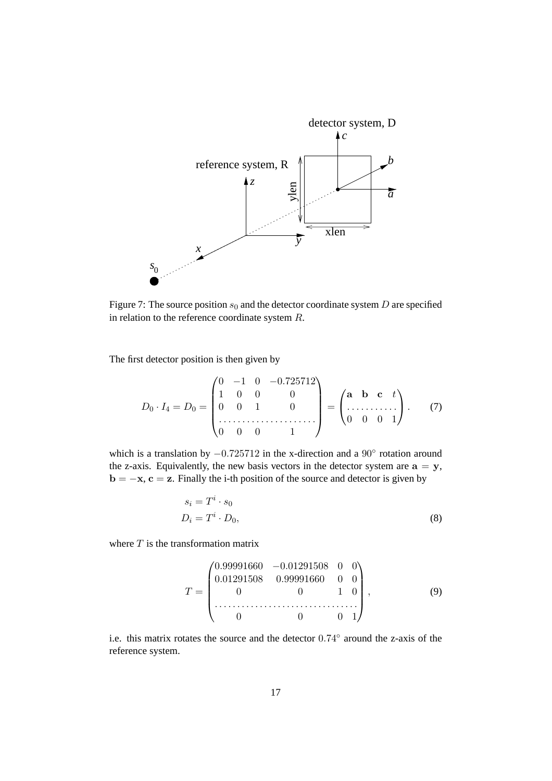

Figure 7: The source position  $s_0$  and the detector coordinate system D are specified in relation to the reference coordinate system R.

The first detector position is then given by

$$
D_0 \cdot I_4 = D_0 = \begin{pmatrix} 0 & -1 & 0 & -0.725712 \\ 1 & 0 & 0 & 0 \\ 0 & 0 & 1 & 0 \\ \vdots & \vdots & \vdots & \ddots & \vdots \\ 0 & 0 & 0 & 1 \end{pmatrix} = \begin{pmatrix} \mathbf{a} & \mathbf{b} & \mathbf{c} & t \\ \vdots & \vdots & \ddots & \vdots \\ 0 & 0 & 0 & 1 \end{pmatrix} . \tag{7}
$$

which is a translation by  $-0.725712$  in the x-direction and a 90 $\degree$  rotation around the z-axis. Equivalently, the new basis vectors in the detector system are  $a = y$ , **,**  $**c** = **z**$ **. Finally the i-th position of the source and detector is given by** 

$$
s_i = T^i \cdot s_0
$$
  

$$
D_i = T^i \cdot D_0,
$$
 (8)

where  $T$  is the transformation matrix

$$
T = \begin{pmatrix} 0.99991660 & -0.01291508 & 0 & 0 \\ 0.01291508 & 0.99991660 & 0 & 0 \\ 0 & 0 & 1 & 0 \\ \vdots & \vdots & \ddots & \vdots & \ddots & \vdots \\ 0 & 0 & 0 & 1 \end{pmatrix}, \tag{9}
$$

i.e. this matrix rotates the source and the detector 0.74◦ around the z-axis of the reference system.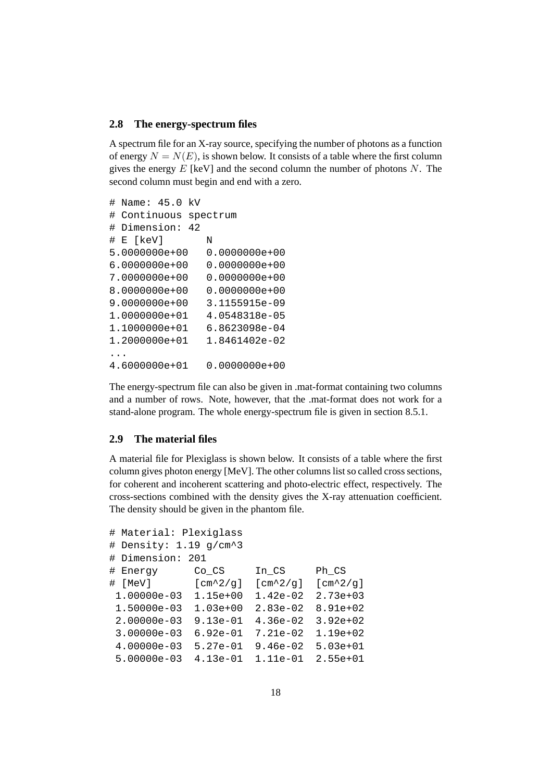#### **2.8 The energy-spectrum files**

A spectrum file for an X-ray source, specifying the number of photons as a function of energy  $N = N(E)$ , is shown below. It consists of a table where the first column gives the energy  $E$  [keV] and the second column the number of photons  $N$ . The second column must begin and end with a zero.

```
# Name: 45.0 kV
# Continuous spectrum
# Dimension: 42
# E [keV] N
5.0000000e+00 0.0000000e+00
6.0000000e+00 0.0000000e+00
7.0000000e+00 0.0000000e+00
8.0000000e+00 0.0000000e+00
9.0000000e+00 3.1155915e-09
1.0000000e+01 4.0548318e-05
1.1000000e+01 6.8623098e-04
1.2000000e+01 1.8461402e-02
...
4.6000000e+01 0.0000000e+00
```
The energy-spectrum file can also be given in .mat-format containing two columns and a number of rows. Note, however, that the .mat-format does not work for a stand-alone program. The whole energy-spectrum file is given in section 8.5.1.

#### **2.9 The material files**

A material file for Plexiglass is shown below. It consists of a table where the first column gives photon energy [MeV]. The other columns list so called cross sections, for coherent and incoherent scattering and photo-electric effect, respectively. The cross-sections combined with the density gives the X-ray attenuation coefficient. The density should be given in the phantom file.

```
# Material: Plexiglass
# Density: 1.19 g/cm^3
# Dimension: 201
# Energy Co_CS In_CS Ph_CS
\# [MeV] [cm^2/q] [cm^2/q] [cm^2/q]1.00000e-03 1.15e+00 1.42e-02 2.73e+03
1.50000e-03 1.03e+00 2.83e-02 8.91e+02
2.00000e-03 9.13e-01 4.36e-02 3.92e+02
3.00000e-03 6.92e-01 7.21e-02 1.19e+02
4.00000e-03 5.27e-01 9.46e-02 5.03e+01
5.00000e-03 4.13e-01 1.11e-01 2.55e+01
```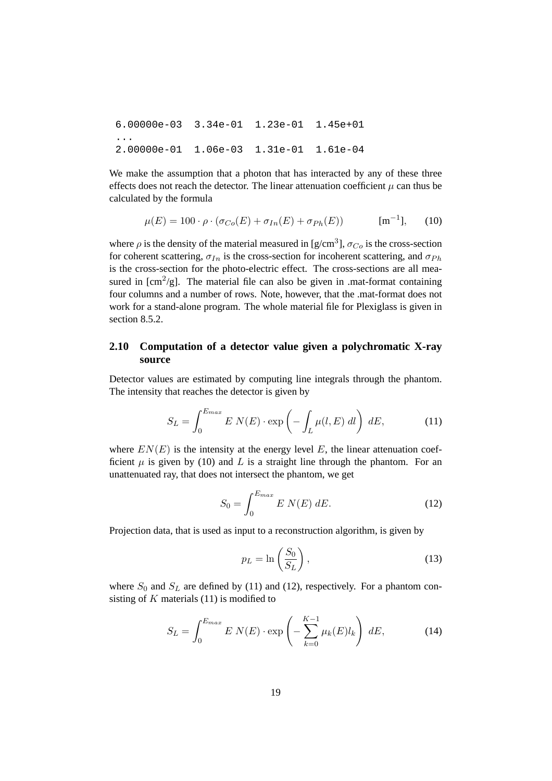6.00000e-03 3.34e-01 1.23e-01 1.45e+01 ... 2.00000e-01 1.06e-03 1.31e-01 1.61e-04

We make the assumption that a photon that has interacted by any of these three effects does not reach the detector. The linear attenuation coefficient  $\mu$  can thus be calculated by the formula

$$
\mu(E) = 100 \cdot \rho \cdot (\sigma_{Co}(E) + \sigma_{In}(E) + \sigma_{Ph}(E)) \qquad [m^{-1}], \qquad (10)
$$

where  $\rho$  is the density of the material measured in [g/cm<sup>3</sup>],  $\sigma_{Co}$  is the cross-section for coherent scattering,  $\sigma_{In}$  is the cross-section for incoherent scattering, and  $\sigma_{Ph}$ is the cross-section for the photo-electric effect. The cross-sections are all measured in  $[cm^2/g]$ . The material file can also be given in .mat-format containing four columns and a number of rows. Note, however, that the .mat-format does not work for a stand-alone program. The whole material file for Plexiglass is given in section 8.5.2.

# **2.10 Computation of a detector value given a polychromatic X-ray source**

Detector values are estimated by computing line integrals through the phantom. The intensity that reaches the detector is given by

$$
S_L = \int_0^{E_{max}} E \ N(E) \cdot \exp\left(-\int_L \mu(l, E) \ dl\right) \ dE,\tag{11}
$$

where  $EN(E)$  is the intensity at the energy level E, the linear attenuation coefficient  $\mu$  is given by (10) and L is a straight line through the phantom. For an unattenuated ray, that does not intersect the phantom, we get

$$
S_0 = \int_0^{E_{max}} E \ N(E) \ dE.
$$
 (12)

Projection data, that is used as input to a reconstruction algorithm, is given by

$$
p_L = \ln\left(\frac{S_0}{S_L}\right),\tag{13}
$$

where  $S_0$  and  $S_L$  are defined by (11) and (12), respectively. For a phantom consisting of  $K$  materials (11) is modified to

$$
S_L = \int_0^{E_{max}} E N(E) \cdot \exp\left(-\sum_{k=0}^{K-1} \mu_k(E) l_k\right) dE,\tag{14}
$$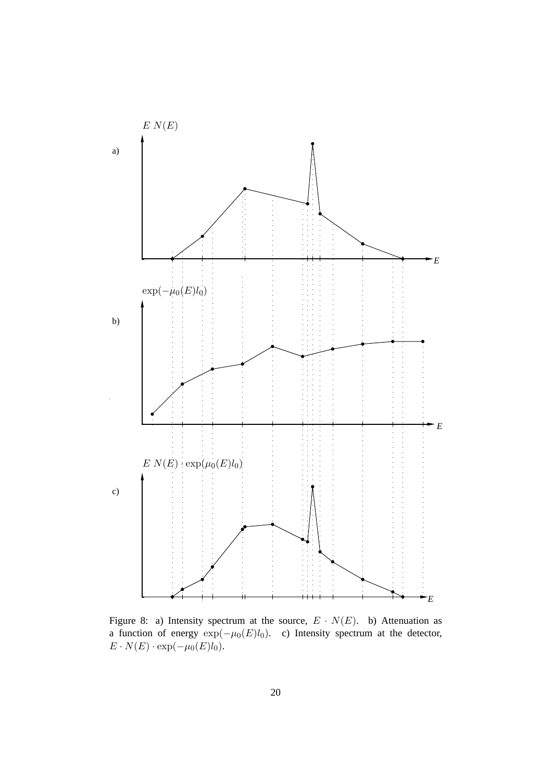

Figure 8: a) Intensity spectrum at the source,  $E \cdot N(E)$ . b) Attenuation as a function of energy  $exp(-\mu_0(E)l_0)$ . c) Intensity spectrum at the detector,  $E \cdot N(E) \cdot \exp(-\mu_0(E)l_0).$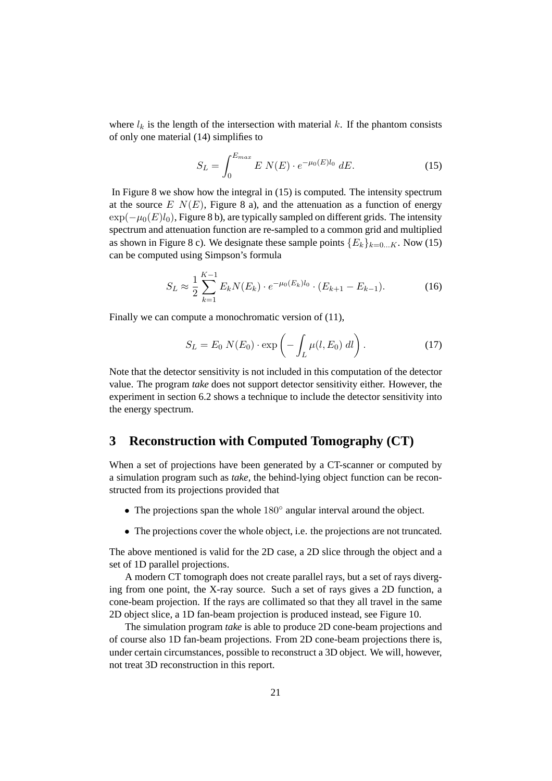where  $l_k$  is the length of the intersection with material k. If the phantom consists of only one material (14) simplifies to

$$
S_L = \int_0^{E_{max}} E \ N(E) \cdot e^{-\mu_0(E)l_0} \ dE. \tag{15}
$$

In Figure 8 we show how the integral in (15) is computed. The intensity spectrum at the source  $E N(E)$ , Figure 8 a), and the attenuation as a function of energy  $\exp(-\mu_0(E)l_0)$ , Figure 8 b), are typically sampled on different grids. The intensity spectrum and attenuation function are re-sampled to a common grid and multiplied as shown in Figure 8 c). We designate these sample points  ${E_k}_{k=0...K}$ . Now (15) can be computed using Simpson's formula

$$
S_L \approx \frac{1}{2} \sum_{k=1}^{K-1} E_k N(E_k) \cdot e^{-\mu_0(E_k) l_0} \cdot (E_{k+1} - E_{k-1}). \tag{16}
$$

Finally we can compute a monochromatic version of (11),

$$
S_L = E_0 N(E_0) \cdot \exp\left(-\int_L \mu(l, E_0) \, dl\right). \tag{17}
$$

Note that the detector sensitivity is not included in this computation of the detector value. The program *take* does not support detector sensitivity either. However, the experiment in section 6.2 shows a technique to include the detector sensitivity into the energy spectrum.

# **3 Reconstruction with Computed Tomography (CT)**

When a set of projections have been generated by a CT-scanner or computed by a simulation program such as *take*, the behind-lying object function can be reconstructed from its projections provided that

- The projections span the whole 180° angular interval around the object.
- The projections cover the whole object, i.e. the projections are not truncated.

The above mentioned is valid for the 2D case, a 2D slice through the object and a set of 1D parallel projections.

A modern CT tomograph does not create parallel rays, but a set of rays diverging from one point, the X-ray source. Such a set of rays gives a 2D function, a cone-beam projection. If the rays are collimated so that they all travel in the same 2D object slice, a 1D fan-beam projection is produced instead, see Figure 10.

The simulation program *take* is able to produce 2D cone-beam projections and of course also 1D fan-beam projections. From 2D cone-beam projections there is, under certain circumstances, possible to reconstruct a 3D object. We will, however, not treat 3D reconstruction in this report.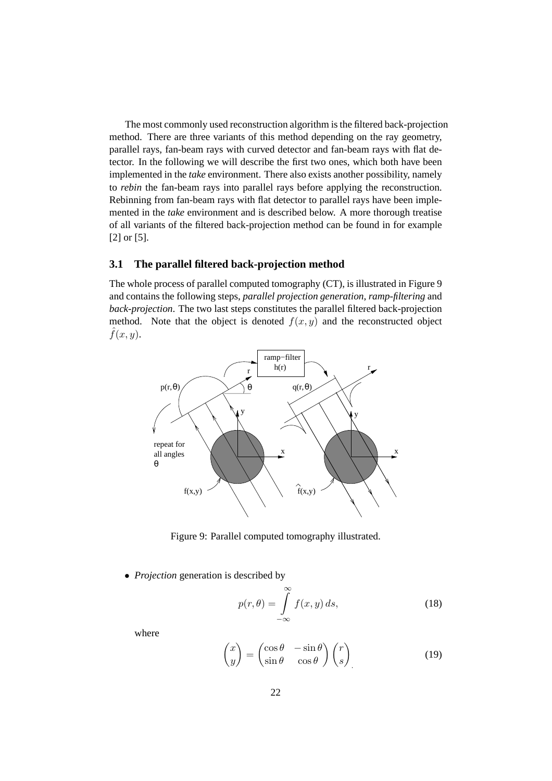The most commonly used reconstruction algorithm is the filtered back-projection method. There are three variants of this method depending on the ray geometry, parallel rays, fan-beam rays with curved detector and fan-beam rays with flat detector. In the following we will describe the first two ones, which both have been implemented in the *take* environment. There also exists another possibility, namely to *rebin* the fan-beam rays into parallel rays before applying the reconstruction. Rebinning from fan-beam rays with flat detector to parallel rays have been implemented in the *take* environment and is described below. A more thorough treatise of all variants of the filtered back-projection method can be found in for example [2] or [5].

## **3.1 The parallel filtered back-projection method**

The whole process of parallel computed tomography (CT), is illustrated in Figure 9 and contains the following steps, *parallel projection generation*, *ramp-filtering* and *back-projection*. The two last steps constitutes the parallel filtered back-projection method. Note that the object is denoted  $f(x, y)$  and the reconstructed object  $\hat{f}(x, y)$ .



Figure 9: Parallel computed tomography illustrated.

• *Projection* generation is described by

$$
p(r,\theta) = \int_{-\infty}^{\infty} f(x,y) \, ds,\tag{18}
$$

where

$$
\begin{pmatrix} x \\ y \end{pmatrix} = \begin{pmatrix} \cos \theta & -\sin \theta \\ \sin \theta & \cos \theta \end{pmatrix} \begin{pmatrix} r \\ s \end{pmatrix} \tag{19}
$$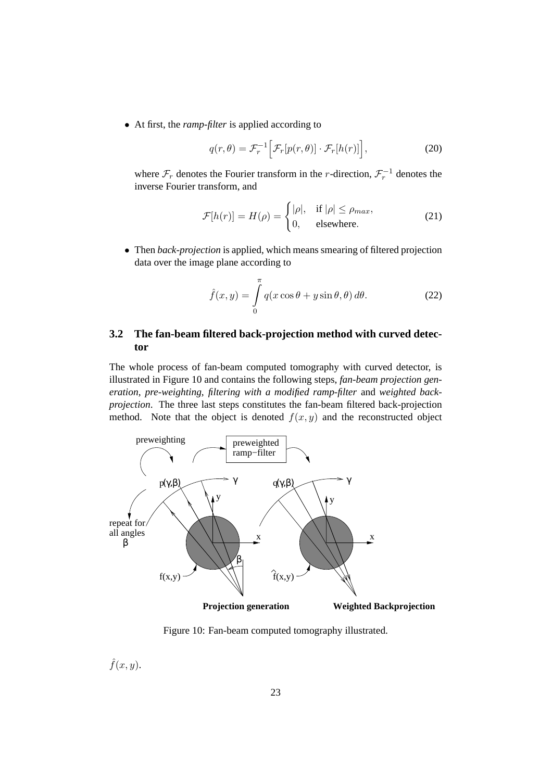• At first, the *ramp-filter* is applied according to

$$
q(r,\theta) = \mathcal{F}_r^{-1} \Big[ \mathcal{F}_r[p(r,\theta)] \cdot \mathcal{F}_r[h(r)] \Big],
$$
 (20)

where  $\mathcal{F}_r$  denotes the Fourier transform in the *r*-direction,  $\mathcal{F}_r^{-1}$  denotes the inverse Fourier transform, and

$$
\mathcal{F}[h(r)] = H(\rho) = \begin{cases} |\rho|, & \text{if } |\rho| \le \rho_{max}, \\ 0, & \text{elsewhere.} \end{cases}
$$
 (21)

• Then *back-projection* is applied, which means smearing of filtered projection data over the image plane according to

$$
\hat{f}(x,y) = \int_{0}^{\pi} q(x\cos\theta + y\sin\theta, \theta) d\theta.
$$
 (22)

# **3.2 The fan-beam filtered back-projection method with curved detector**

The whole process of fan-beam computed tomography with curved detector, is illustrated in Figure 10 and contains the following steps, *fan-beam projection generation*, *pre-weighting*, *filtering with a modified ramp-filter* and *weighted backprojection*. The three last steps constitutes the fan-beam filtered back-projection method. Note that the object is denoted  $f(x, y)$  and the reconstructed object



Figure 10: Fan-beam computed tomography illustrated.

 $\hat{f}(x, y)$ .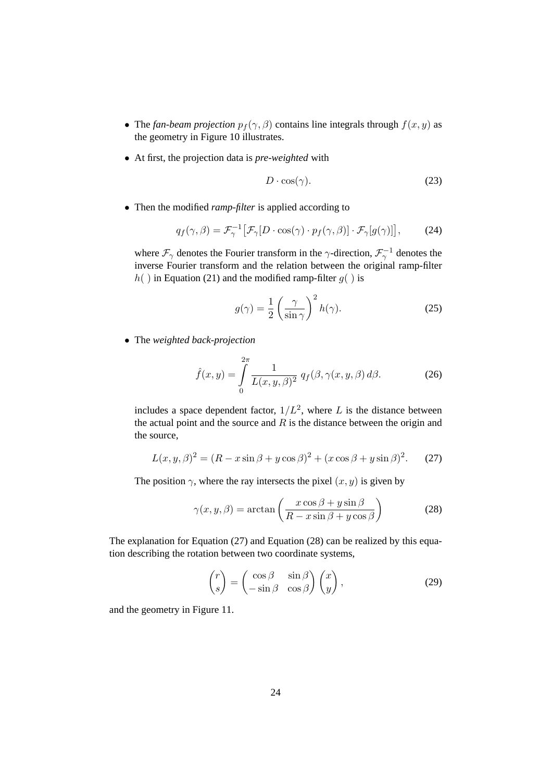- The *fan-beam projection*  $p_f(\gamma, \beta)$  contains line integrals through  $f(x, y)$  as the geometry in Figure 10 illustrates.
- At first, the projection data is *pre-weighted* with

$$
D \cdot \cos(\gamma). \tag{23}
$$

• Then the modified *ramp-filter* is applied according to

$$
q_f(\gamma, \beta) = \mathcal{F}_{\gamma}^{-1} \big[ \mathcal{F}_{\gamma} [D \cdot \cos(\gamma) \cdot p_f(\gamma, \beta)] \cdot \mathcal{F}_{\gamma} [g(\gamma)] \big], \tag{24}
$$

where  $\mathcal{F}_{\gamma}$  denotes the Fourier transform in the  $\gamma$ -direction,  $\mathcal{F}_{\gamma}^{-1}$  denotes the inverse Fourier transform and the relation between the original ramp-filter  $h( )$  in Equation (21) and the modified ramp-filter  $g( )$  is

$$
g(\gamma) = \frac{1}{2} \left( \frac{\gamma}{\sin \gamma} \right)^2 h(\gamma).
$$
 (25)

• The *weighted back-projection*

$$
\hat{f}(x,y) = \int\limits_0^{2\pi} \frac{1}{L(x,y,\beta)^2} q_f(\beta,\gamma(x,y,\beta) d\beta.
$$
 (26)

includes a space dependent factor,  $1/L^2$ , where L is the distance between the actual point and the source and  $R$  is the distance between the origin and the source,

$$
L(x, y, \beta)^2 = (R - x \sin \beta + y \cos \beta)^2 + (x \cos \beta + y \sin \beta)^2.
$$
 (27)

The position  $\gamma$ , where the ray intersects the pixel  $(x, y)$  is given by

$$
\gamma(x, y, \beta) = \arctan\left(\frac{x\cos\beta + y\sin\beta}{R - x\sin\beta + y\cos\beta}\right)
$$
 (28)

The explanation for Equation (27) and Equation (28) can be realized by this equation describing the rotation between two coordinate systems,

$$
\begin{pmatrix} r \\ s \end{pmatrix} = \begin{pmatrix} \cos \beta & \sin \beta \\ -\sin \beta & \cos \beta \end{pmatrix} \begin{pmatrix} x \\ y \end{pmatrix},
$$
 (29)

and the geometry in Figure 11.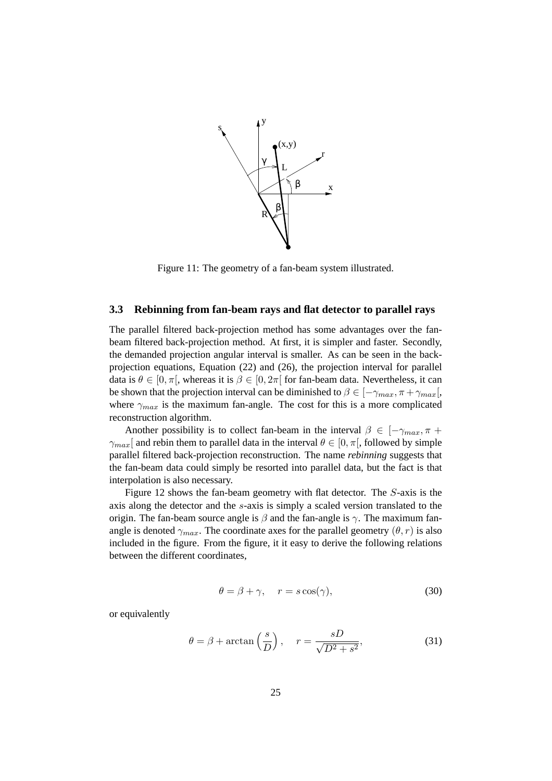

Figure 11: The geometry of a fan-beam system illustrated.

# **3.3 Rebinning from fan-beam rays and flat detector to parallel rays**

The parallel filtered back-projection method has some advantages over the fanbeam filtered back-projection method. At first, it is simpler and faster. Secondly, the demanded projection angular interval is smaller. As can be seen in the backprojection equations, Equation (22) and (26), the projection interval for parallel data is  $\theta \in [0, \pi]$ , whereas it is  $\beta \in [0, 2\pi]$  for fan-beam data. Nevertheless, it can be shown that the projection interval can be diminished to  $\beta \in [-\gamma_{max}, \pi + \gamma_{max}]$ , where  $\gamma_{max}$  is the maximum fan-angle. The cost for this is a more complicated reconstruction algorithm.

Another possibility is to collect fan-beam in the interval  $\beta \in [-\gamma_{max}, \pi +$  $\gamma_{max}$ [ and rebin them to parallel data in the interval  $\theta \in [0, \pi]$ , followed by simple parallel filtered back-projection reconstruction. The name *rebinning* suggests that the fan-beam data could simply be resorted into parallel data, but the fact is that interpolation is also necessary.

Figure 12 shows the fan-beam geometry with flat detector. The S-axis is the axis along the detector and the s-axis is simply a scaled version translated to the origin. The fan-beam source angle is  $\beta$  and the fan-angle is  $\gamma$ . The maximum fanangle is denoted  $\gamma_{max}$ . The coordinate axes for the parallel geometry  $(\theta, r)$  is also included in the figure. From the figure, it it easy to derive the following relations between the different coordinates,

$$
\theta = \beta + \gamma, \quad r = s \cos(\gamma), \tag{30}
$$

or equivalently

$$
\theta = \beta + \arctan\left(\frac{s}{D}\right), \quad r = \frac{sD}{\sqrt{D^2 + s^2}},\tag{31}
$$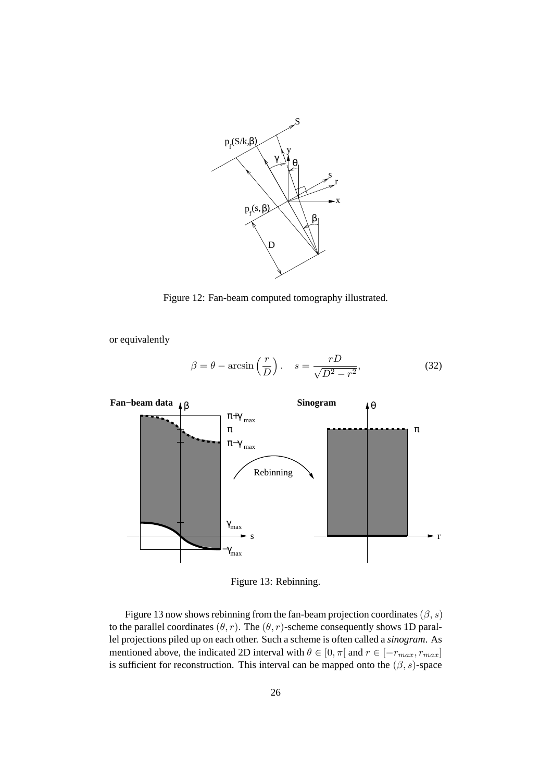

Figure 12: Fan-beam computed tomography illustrated.

or equivalently

$$
\beta = \theta - \arcsin\left(\frac{r}{D}\right), \quad s = \frac{rD}{\sqrt{D^2 - r^2}},\tag{32}
$$



Figure 13: Rebinning.

Figure 13 now shows rebinning from the fan-beam projection coordinates ( $\beta$ , s) to the parallel coordinates  $(\theta, r)$ . The  $(\theta, r)$ -scheme consequently shows 1D parallel projections piled up on each other. Such a scheme is often called a *sinogram*. As mentioned above, the indicated 2D interval with  $\theta \in [0, \pi]$  and  $r \in [-r_{max}, r_{max}]$ is sufficient for reconstruction. This interval can be mapped onto the  $(\beta, s)$ -space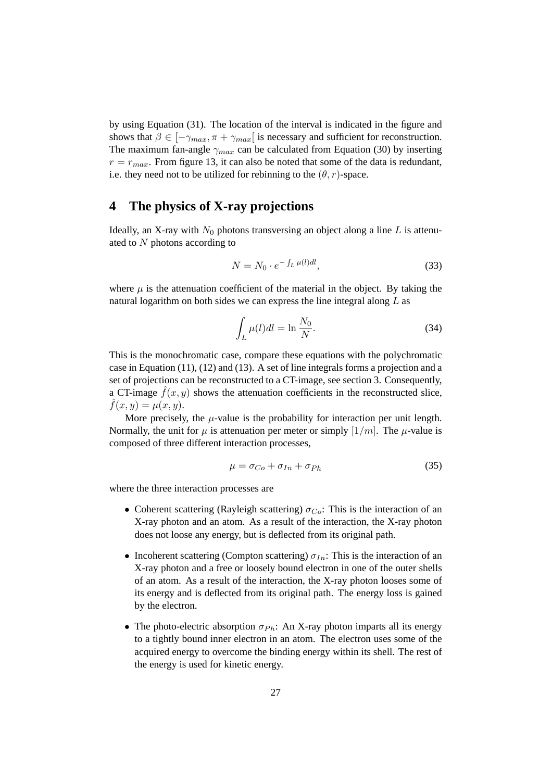by using Equation (31). The location of the interval is indicated in the figure and shows that  $\beta \in [-\gamma_{max}, \pi + \gamma_{max}]$  is necessary and sufficient for reconstruction. The maximum fan-angle  $\gamma_{max}$  can be calculated from Equation (30) by inserting  $r = r_{max}$ . From figure 13, it can also be noted that some of the data is redundant, i.e. they need not to be utilized for rebinning to the  $(\theta, r)$ -space.

# **4 The physics of X-ray projections**

Ideally, an X-ray with  $N_0$  photons transversing an object along a line L is attenuated to N photons according to

$$
N = N_0 \cdot e^{-\int_L \mu(l)dl},\tag{33}
$$

where  $\mu$  is the attenuation coefficient of the material in the object. By taking the natural logarithm on both sides we can express the line integral along  $L$  as

$$
\int_{L} \mu(l)dl = \ln \frac{N_0}{N}.
$$
\n(34)

This is the monochromatic case, compare these equations with the polychromatic case in Equation (11), (12) and (13). A set of line integrals forms a projection and a set of projections can be reconstructed to a CT-image, see section 3. Consequently, a CT-image  $\hat{f}(x, y)$  shows the attenuation coefficients in the reconstructed slice,  $\hat{f}(x, y) = \mu(x, y)$ .

More precisely, the  $\mu$ -value is the probability for interaction per unit length. Normally, the unit for  $\mu$  is attenuation per meter or simply [1/m]. The  $\mu$ -value is composed of three different interaction processes,

$$
\mu = \sigma_{Co} + \sigma_{In} + \sigma_{Ph} \tag{35}
$$

where the three interaction processes are

- Coherent scattering (Rayleigh scattering)  $\sigma_{Co}$ : This is the interaction of an X-ray photon and an atom. As a result of the interaction, the X-ray photon does not loose any energy, but is deflected from its original path.
- Incoherent scattering (Compton scattering)  $\sigma_{In}$ : This is the interaction of an X-ray photon and a free or loosely bound electron in one of the outer shells of an atom. As a result of the interaction, the X-ray photon looses some of its energy and is deflected from its original path. The energy loss is gained by the electron.
- The photo-electric absorption  $\sigma_{Ph}$ : An X-ray photon imparts all its energy to a tightly bound inner electron in an atom. The electron uses some of the acquired energy to overcome the binding energy within its shell. The rest of the energy is used for kinetic energy.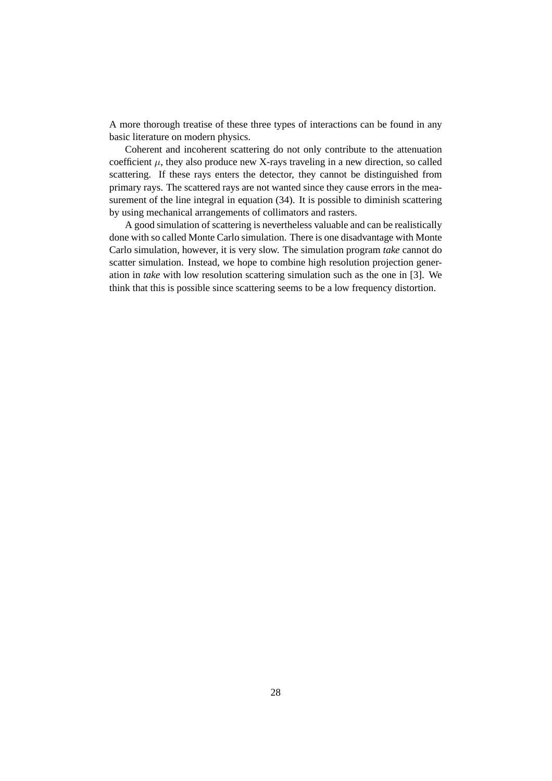A more thorough treatise of these three types of interactions can be found in any basic literature on modern physics.

Coherent and incoherent scattering do not only contribute to the attenuation coefficient  $\mu$ , they also produce new X-rays traveling in a new direction, so called scattering. If these rays enters the detector, they cannot be distinguished from primary rays. The scattered rays are not wanted since they cause errors in the measurement of the line integral in equation (34). It is possible to diminish scattering by using mechanical arrangements of collimators and rasters.

A good simulation of scattering is nevertheless valuable and can be realistically done with so called Monte Carlo simulation. There is one disadvantage with Monte Carlo simulation, however, it is very slow. The simulation program *take* cannot do scatter simulation. Instead, we hope to combine high resolution projection generation in *take* with low resolution scattering simulation such as the one in [3]. We think that this is possible since scattering seems to be a low frequency distortion.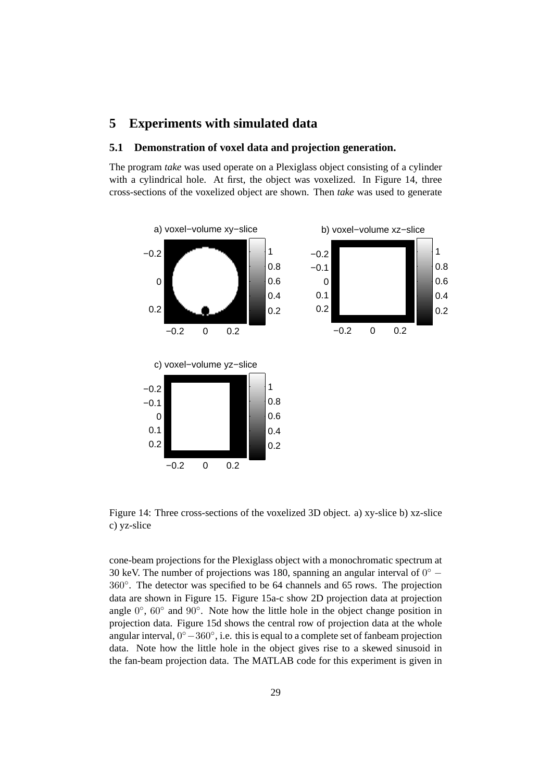# **5 Experiments with simulated data**

## **5.1 Demonstration of voxel data and projection generation.**

The program *take* was used operate on a Plexiglass object consisting of a cylinder with a cylindrical hole. At first, the object was voxelized. In Figure 14, three cross-sections of the voxelized object are shown. Then *take* was used to generate



Figure 14: Three cross-sections of the voxelized 3D object. a) xy-slice b) xz-slice c) yz-slice

cone-beam projections for the Plexiglass object with a monochromatic spectrum at 30 keV. The number of projections was 180, spanning an angular interval of  $0°$  – <sup>360</sup>◦. The detector was specified to be 64 channels and 65 rows. The projection data are shown in Figure 15. Figure 15a-c show 2D projection data at projection angle  $0^\circ$ ,  $60^\circ$  and  $90^\circ$ . Note how the little hole in the object change position in projection data. Figure 15d shows the central row of projection data at the whole angular interval, <sup>0</sup>◦−360◦, i.e. this is equal to a complete set of fanbeam projection data. Note how the little hole in the object gives rise to a skewed sinusoid in the fan-beam projection data. The MATLAB code for this experiment is given in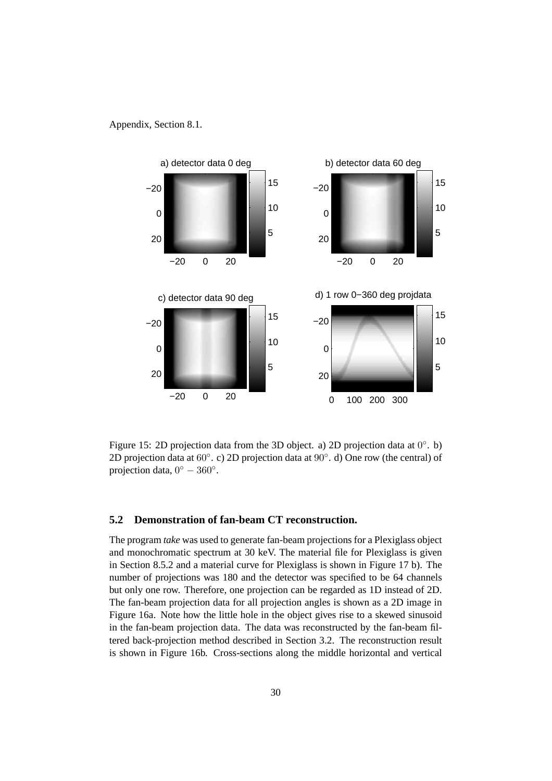### Appendix, Section 8.1.



Figure 15: 2D projection data from the 3D object. a) 2D projection data at 0◦. b) 2D projection data at 60◦. c) 2D projection data at <sup>90</sup>◦. d) One row (the central) of projection data,  $0^\circ - 360^\circ$ .

# **5.2 Demonstration of fan-beam CT reconstruction.**

The program *take* was used to generate fan-beam projections for a Plexiglass object and monochromatic spectrum at 30 keV. The material file for Plexiglass is given in Section 8.5.2 and a material curve for Plexiglass is shown in Figure 17 b). The number of projections was 180 and the detector was specified to be 64 channels but only one row. Therefore, one projection can be regarded as 1D instead of 2D. The fan-beam projection data for all projection angles is shown as a 2D image in Figure 16a. Note how the little hole in the object gives rise to a skewed sinusoid in the fan-beam projection data. The data was reconstructed by the fan-beam filtered back-projection method described in Section 3.2. The reconstruction result is shown in Figure 16b. Cross-sections along the middle horizontal and vertical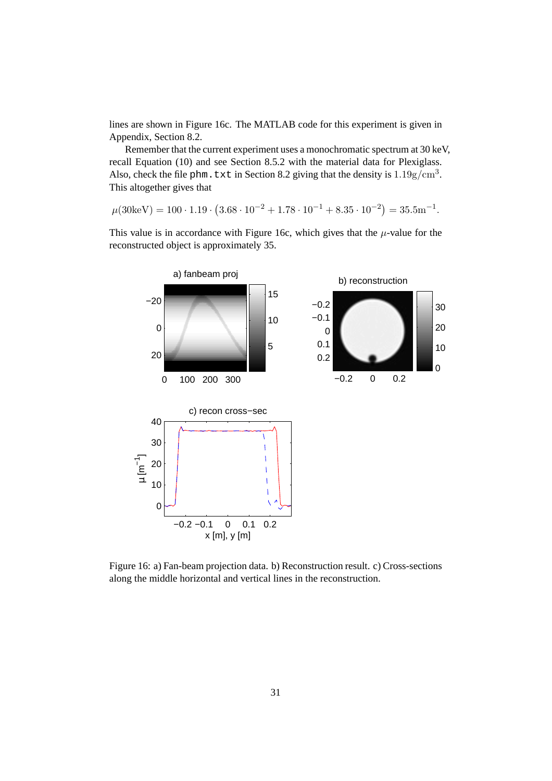lines are shown in Figure 16c. The MATLAB code for this experiment is given in Appendix, Section 8.2.

Remember that the current experiment uses a monochromatic spectrum at 30 keV, recall Equation (10) and see Section 8.5.2 with the material data for Plexiglass. Also, check the file phm. txt in Section 8.2 giving that the density is  $1.19g/cm<sup>3</sup>$ . This altogether gives that

 $\mu(30\text{keV}) = 100 \cdot 1.19 \cdot (3.68 \cdot 10^{-2} + 1.78 \cdot 10^{-1} + 8.35 \cdot 10^{-2}) = 35.5 \text{m}^{-1}.$ 

This value is in accordance with Figure 16c, which gives that the  $\mu$ -value for the reconstructed object is approximately 35.



Figure 16: a) Fan-beam projection data. b) Reconstruction result. c) Cross-sections along the middle horizontal and vertical lines in the reconstruction.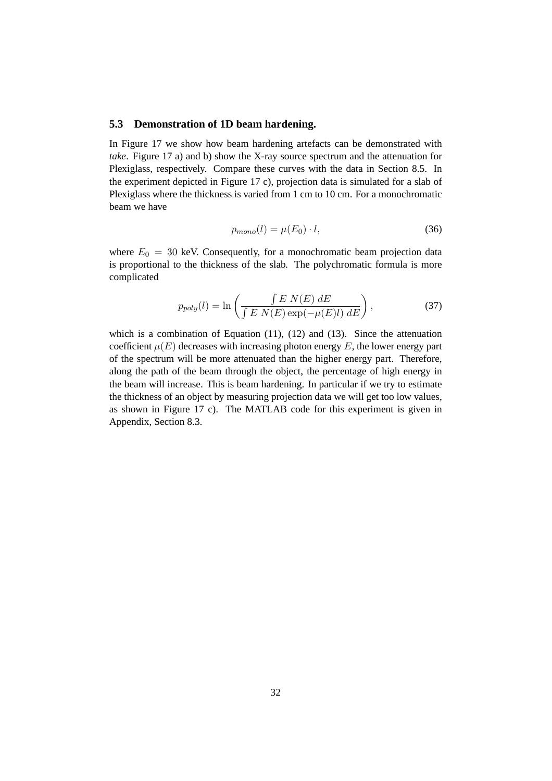#### **5.3 Demonstration of 1D beam hardening.**

In Figure 17 we show how beam hardening artefacts can be demonstrated with *take*. Figure 17 a) and b) show the X-ray source spectrum and the attenuation for Plexiglass, respectively. Compare these curves with the data in Section 8.5. In the experiment depicted in Figure 17 c), projection data is simulated for a slab of Plexiglass where the thickness is varied from 1 cm to 10 cm. For a monochromatic beam we have

$$
p_{mono}(l) = \mu(E_0) \cdot l,\tag{36}
$$

where  $E_0 = 30$  keV. Consequently, for a monochromatic beam projection data is proportional to the thickness of the slab. The polychromatic formula is more complicated

$$
p_{poly}(l) = \ln\left(\frac{\int E N(E) dE}{\int E N(E) \exp(-\mu(E)l) dE}\right),\tag{37}
$$

which is a combination of Equation (11), (12) and (13). Since the attenuation coefficient  $\mu(E)$  decreases with increasing photon energy E, the lower energy part of the spectrum will be more attenuated than the higher energy part. Therefore, along the path of the beam through the object, the percentage of high energy in the beam will increase. This is beam hardening. In particular if we try to estimate the thickness of an object by measuring projection data we will get too low values, as shown in Figure 17 c). The MATLAB code for this experiment is given in Appendix, Section 8.3.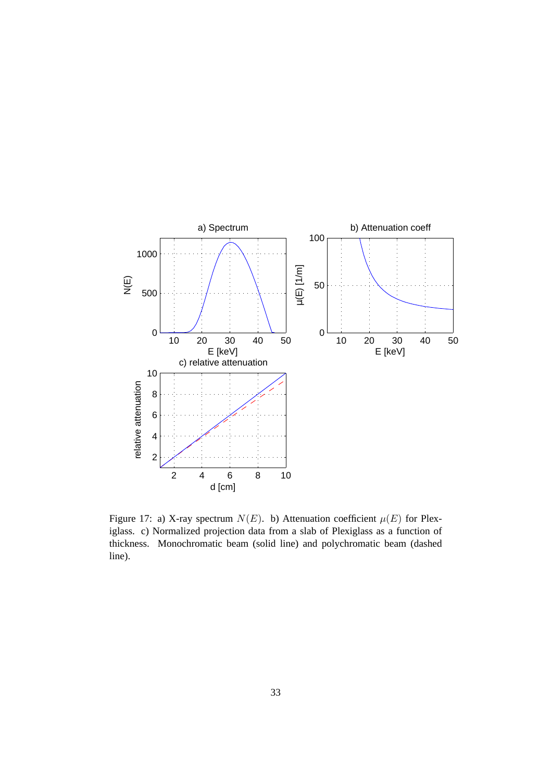

Figure 17: a) X-ray spectrum  $N(E)$ . b) Attenuation coefficient  $\mu(E)$  for Plexiglass. c) Normalized projection data from a slab of Plexiglass as a function of thickness. Monochromatic beam (solid line) and polychromatic beam (dashed line).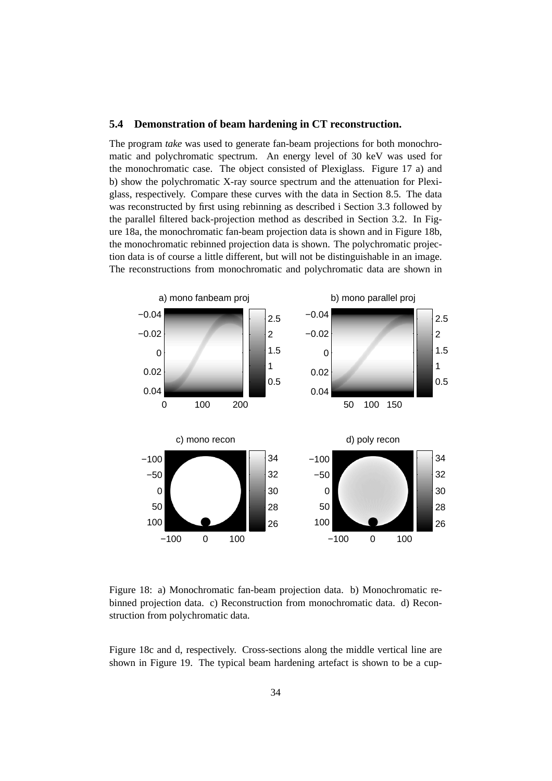#### **5.4 Demonstration of beam hardening in CT reconstruction.**

The program *take* was used to generate fan-beam projections for both monochromatic and polychromatic spectrum. An energy level of 30 keV was used for the monochromatic case. The object consisted of Plexiglass. Figure 17 a) and b) show the polychromatic X-ray source spectrum and the attenuation for Plexiglass, respectively. Compare these curves with the data in Section 8.5. The data was reconstructed by first using rebinning as described i Section 3.3 followed by the parallel filtered back-projection method as described in Section 3.2. In Figure 18a, the monochromatic fan-beam projection data is shown and in Figure 18b, the monochromatic rebinned projection data is shown. The polychromatic projection data is of course a little different, but will not be distinguishable in an image. The reconstructions from monochromatic and polychromatic data are shown in



Figure 18: a) Monochromatic fan-beam projection data. b) Monochromatic rebinned projection data. c) Reconstruction from monochromatic data. d) Reconstruction from polychromatic data.

Figure 18c and d, respectively. Cross-sections along the middle vertical line are shown in Figure 19. The typical beam hardening artefact is shown to be a cup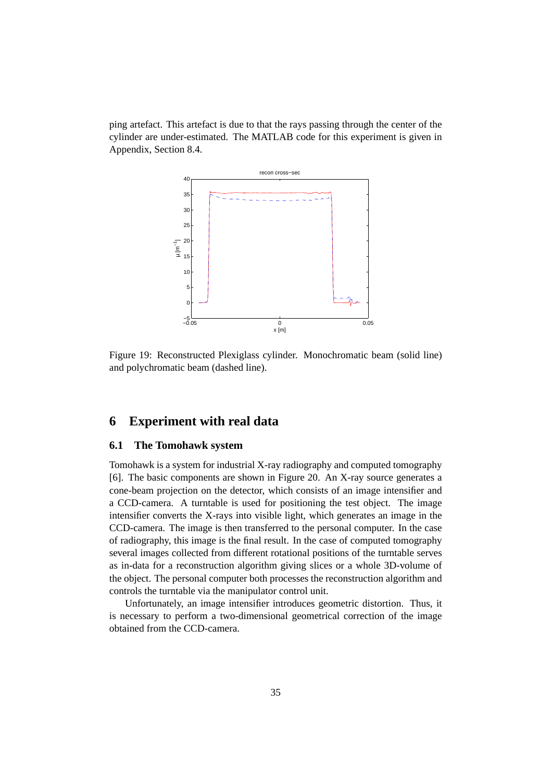ping artefact. This artefact is due to that the rays passing through the center of the cylinder are under-estimated. The MATLAB code for this experiment is given in Appendix, Section 8.4.



Figure 19: Reconstructed Plexiglass cylinder. Monochromatic beam (solid line) and polychromatic beam (dashed line).

# **6 Experiment with real data**

# **6.1 The Tomohawk system**

Tomohawk is a system for industrial X-ray radiography and computed tomography [6]. The basic components are shown in Figure 20. An X-ray source generates a cone-beam projection on the detector, which consists of an image intensifier and a CCD-camera. A turntable is used for positioning the test object. The image intensifier converts the X-rays into visible light, which generates an image in the CCD-camera. The image is then transferred to the personal computer. In the case of radiography, this image is the final result. In the case of computed tomography several images collected from different rotational positions of the turntable serves as in-data for a reconstruction algorithm giving slices or a whole 3D-volume of the object. The personal computer both processes the reconstruction algorithm and controls the turntable via the manipulator control unit.

Unfortunately, an image intensifier introduces geometric distortion. Thus, it is necessary to perform a two-dimensional geometrical correction of the image obtained from the CCD-camera.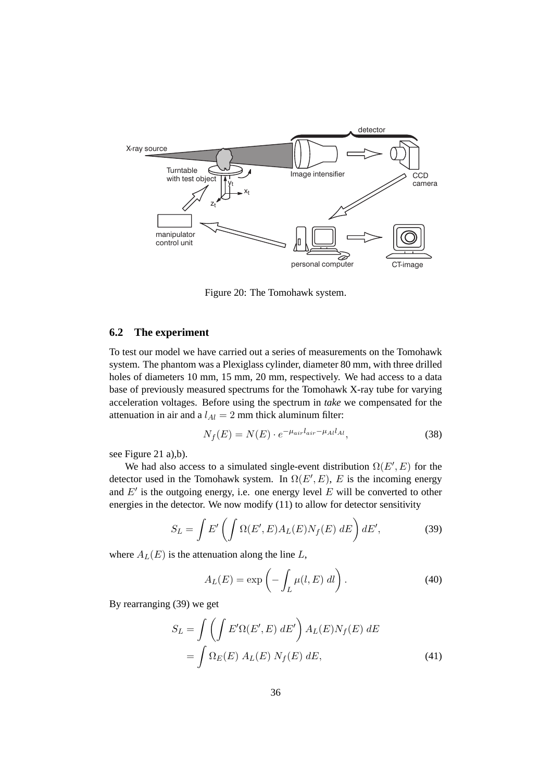

Figure 20: The Tomohawk system.

## **6.2 The experiment**

To test our model we have carried out a series of measurements on the Tomohawk system. The phantom was a Plexiglass cylinder, diameter 80 mm, with three drilled holes of diameters 10 mm, 15 mm, 20 mm, respectively. We had access to a data base of previously measured spectrums for the Tomohawk X-ray tube for varying acceleration voltages. Before using the spectrum in *take* we compensated for the attenuation in air and a  $l_{Al} = 2$  mm thick aluminum filter:

$$
N_f(E) = N(E) \cdot e^{-\mu_{air} l_{air} - \mu_{Al} l_{Al}}, \tag{38}
$$

see Figure 21 a),b).

We had also access to a simulated single-event distribution  $\Omega(E', E)$  for the correction used in the Tomobauk system. In  $\Omega(E', E)$ , E is the incoming energy detector used in the Tomohawk system. In  $\Omega(E', E)$ , E is the incoming energy<br>and E' is the outgoing energy i.e., one energy level E will be converted to other and  $E'$  is the outgoing energy, i.e. one energy level E will be converted to other energies in the detector. We now modify (11) to allow for detector sensitivity

$$
S_L = \int E' \left( \int \Omega(E', E) A_L(E) N_f(E) \, dE \right) dE', \tag{39}
$$

where  $A_L(E)$  is the attenuation along the line L,

$$
A_L(E) = \exp\left(-\int_L \mu(l, E) \, dl\right). \tag{40}
$$

By rearranging (39) we get

$$
S_L = \int \left( \int E' \Omega(E', E) dE' \right) A_L(E) N_f(E) dE
$$

$$
= \int \Omega_E(E) A_L(E) N_f(E) dE,
$$
(41)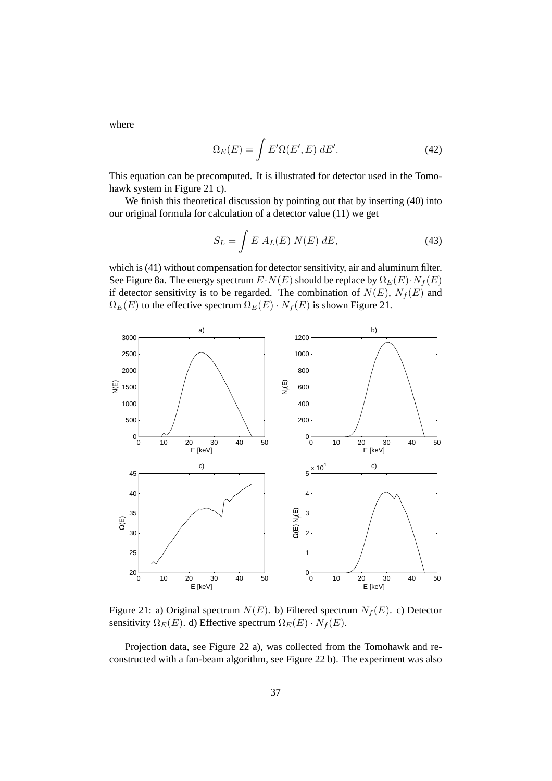where

$$
\Omega_E(E) = \int E' \Omega(E', E) dE'. \tag{42}
$$

This equation can be precomputed. It is illustrated for detector used in the Tomohawk system in Figure 21 c).

We finish this theoretical discussion by pointing out that by inserting (40) into our original formula for calculation of a detector value (11) we get

$$
S_L = \int E A_L(E) N(E) dE, \qquad (43)
$$

which is (41) without compensation for detector sensitivity, air and aluminum filter. See Figure 8a. The energy spectrum  $E\cdot N(E)$  should be replace by  $\Omega_E(E)\cdot N_f(E)$ if detector sensitivity is to be regarded. The combination of  $N(E)$ ,  $N_f(E)$  and  $\Omega_E(E)$  to the effective spectrum  $\Omega_E(E) \cdot N_f(E)$  is shown Figure 21.



Figure 21: a) Original spectrum  $N(E)$ . b) Filtered spectrum  $N_f(E)$ . c) Detector sensitivity  $\Omega_E(E)$ . d) Effective spectrum  $\Omega_E(E) \cdot N_f(E)$ .

Projection data, see Figure 22 a), was collected from the Tomohawk and reconstructed with a fan-beam algorithm, see Figure 22 b). The experiment was also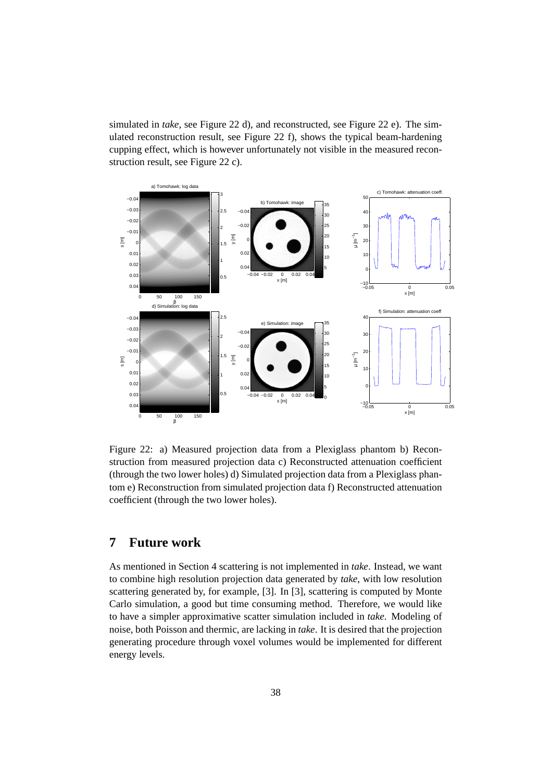simulated in *take*, see Figure 22 d), and reconstructed, see Figure 22 e). The simulated reconstruction result, see Figure 22 f), shows the typical beam-hardening cupping effect, which is however unfortunately not visible in the measured reconstruction result, see Figure 22 c).



Figure 22: a) Measured projection data from a Plexiglass phantom b) Reconstruction from measured projection data c) Reconstructed attenuation coefficient (through the two lower holes) d) Simulated projection data from a Plexiglass phantom e) Reconstruction from simulated projection data f) Reconstructed attenuation coefficient (through the two lower holes).

# **7 Future work**

As mentioned in Section 4 scattering is not implemented in *take*. Instead, we want to combine high resolution projection data generated by *take*, with low resolution scattering generated by, for example, [3]. In [3], scattering is computed by Monte Carlo simulation, a good but time consuming method. Therefore, we would like to have a simpler approximative scatter simulation included in *take*. Modeling of noise, both Poisson and thermic, are lacking in *take*. It is desired that the projection generating procedure through voxel volumes would be implemented for different energy levels.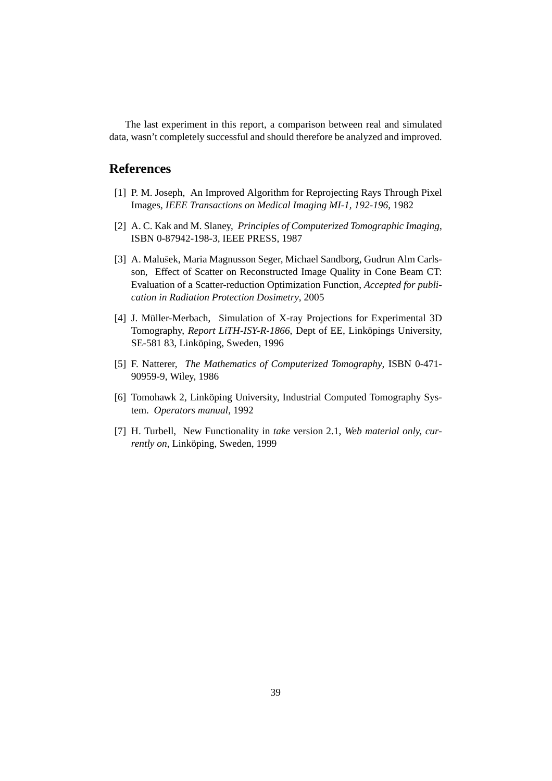The last experiment in this report, a comparison between real and simulated data, wasn't completely successful and should therefore be analyzed and improved.

# **References**

- [1] P. M. Joseph, An Improved Algorithm for Reprojecting Rays Through Pixel Images, *IEEE Transactions on Medical Imaging MI-1, 192-196*, 1982
- [2] A. C. Kak and M. Slaney, *Principles of Computerized Tomographic Imaging*, ISBN 0-87942-198-3, IEEE PRESS, 1987
- [3] A. Malušek, Maria Magnusson Seger, Michael Sandborg, Gudrun Alm Carlsson, Effect of Scatter on Reconstructed Image Quality in Cone Beam CT: Evaluation of a Scatter-reduction Optimization Function, *Accepted for publication in Radiation Protection Dosimetry*, 2005
- [4] J. Müller-Merbach, Simulation of X-ray Projections for Experimental 3D Tomography, *Report LiTH-ISY-R-1866*, Dept of EE, Linköpings University, SE-581 83, Linköping, Sweden, 1996
- [5] F. Natterer, *The Mathematics of Computerized Tomography*, ISBN 0-471- 90959-9, Wiley, 1986
- [6] Tomohawk 2, Linköping University, Industrial Computed Tomography System. *Operators manual*, 1992
- [7] H. Turbell, New Functionality in *take* version 2.1, *Web material only, currently on*, Linköping, Sweden, 1999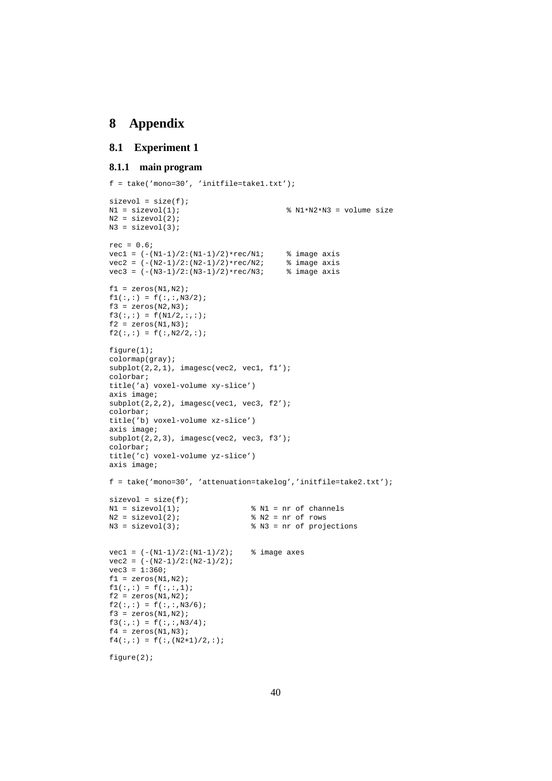# **8 Appendix**

# **8.1 Experiment 1**

#### **8.1.1 main program**

```
f = take('mono=30', 'initfile=take1.txt');sizevol = size(f);N1 = sizevol(1);<br>8 N1*N2*N3 = volume sizeN2 = sizevol(2);
N3 = sizevol(3);
rec = 0.6;
vec1 = (-(N1-1)/2:(N1-1)/2)*rec/N1; % image axis<br>vec2 = (-(N2-1)/2:(N2-1)/2)*rec/N2; % image axis
vec2 = (-N2-1)/2:(N2-1)/2)*vecc/N2; % image axis<br>
vec3 = (-N3-1)/2:(N3-1)/2)*vecc/N3; % image axis
vec3 = (-N3-1)/2:(N3-1)/2)*rec/N3;f1 = zeros(N1,N2);f1(:,:) = f(:,:,N3/2);
f3 = zeros(N2,N3);f3(:,:) = f(N1/2,:,:);f2 = zeros(N1,N3);f2(:,:) = f(:,N2/2,:);figure(1);
colormap(gray);
subplot(2,2,1), imagesc(vec2, vec1, f1');
colorbar;
title('a) voxel-volume xy-slice')
axis image;
subplot(2,2,2), imagesc(vec1, vec3, f2');
colorbar;
title('b) voxel-volume xz-slice')
axis image;
subplot(2,2,3), imagesc(vec2, vec3, f3');
colorbar;
title('c) voxel-volume yz-slice')
axis image;
f = take('mono=30', 'attenuation=takelog','initfile=take2.txt');
sizevol = size(f);N1 = sizevol(1); <br> N1 = nr of channels
N2 = sizevol(2);<br>N3 = sizevol(3);<br>N3 = nr of projection N3 = nr of projection N3 = nr of projection N3 = nr% N3 = nr of projections
vec1 = (-N1-1)/2:(N1-1)/2); % image axes
vec2 = (-(N2-1)/2:(N2-1)/2);
vec3 = 1:360;
f1 = zeros(M1,N2);f1(:,:) = f(:,:);1);f2 = zeros(N1,N2);f2(:,:) = f(:,:,N3/6);
f3 = zeros(M1,N2);f3(:,:) = f(:,:,N3/4);f4 = zeros(N1,N3);f4(:,:) = f(:,(N2+1)/2,:);
figure(2);
```
40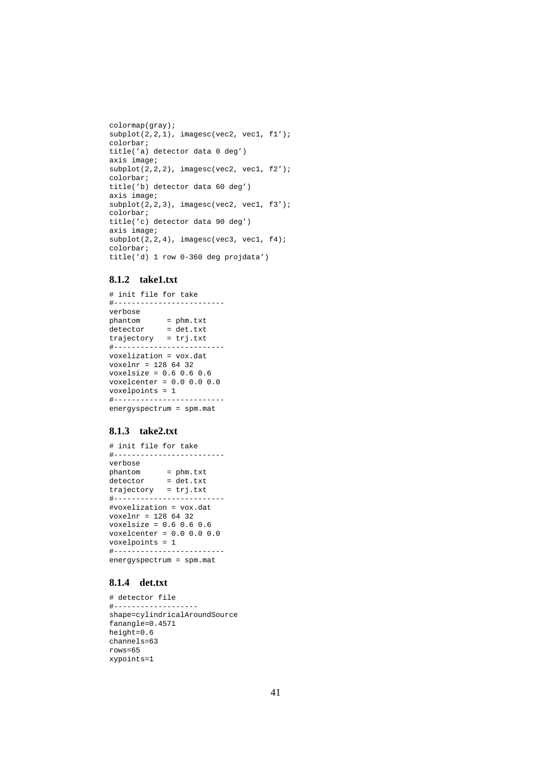```
colormap(gray);
subplot(2,2,1), imagesc(vec2, vec1, f1');
colorbar;
title('a) detector data 0 deg')
axis image;
subplot(2,2,2), imagesc(vec2, vec1, f2');
colorbar;
title('b) detector data 60 deg')
axis image;
subplot(2,2,3), imagesc(vec2, vec1, f3');
colorbar;
title('c) detector data 90 deg')
axis image;
subplot(2,2,4), imagesc(vec3, vec1, f4);
colorbar;
title('d) 1 row 0-360 deg projdata')
```
# **8.1.2 take1.txt**

```
# init file for take
#-------------------------
verbose
            phantom = phm.txt
detector = det.txt
trajectory = trj.txt
#-------------------------
voxelization = vox.dat
voxelnr = 128 64 32
voxelsize = 0.6 0.6 0.6voxelcenter = 0.0 0.0 0.0
voxelpoints = 1
#-------------------------
energyspectrum = spm.mat
```
### **8.1.3 take2.txt**

```
# init file for take
#-------------------------
verbose
phantom = phm.txt
detector = det.txt
trajectory = trj.txt
#-------------------------
#voxelization = vox.dat
voxelnr = 128 64 32
voxelsize = 0.6 0.6 0.6
voxelcenter = 0.0 0.0 0.0
voxelpoints = 1
#-------------------------
energyspectrum = spm.mat
```
## **8.1.4 det.txt**

```
# detector file
#-------------------
shape=cylindricalAroundSource
fanangle=0.4571
height=0.6
channels=63
rows=65
xypoints=1
```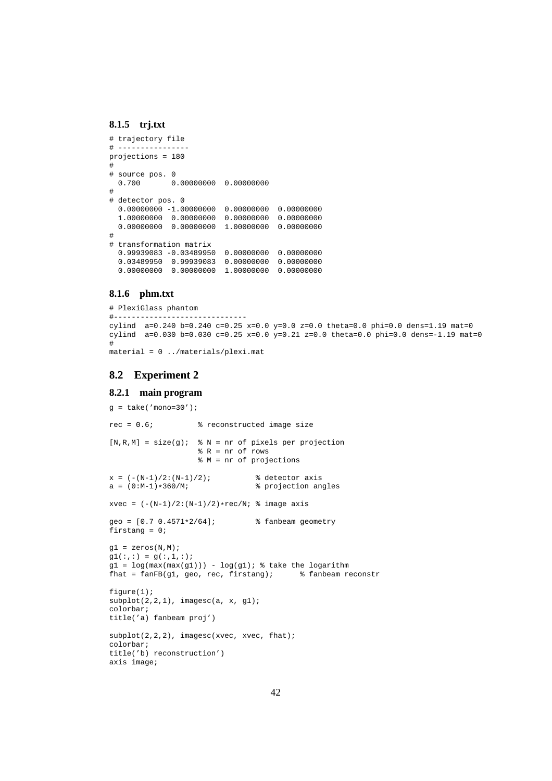#### **8.1.5 trj.txt**

```
# trajectory file
# ----------------
projections = 180
#
# source pos. 0
 0.700 0.00000000 0.00000000
#
# detector pos. 0
  0.00000000 -1.00000000 0.00000000 0.00000000
  1.00000000 0.00000000 0.00000000 0.00000000
 0.00000000 0.00000000 1.00000000 0.00000000
#
# transformation matrix
  0.99939083 -0.03489950 0.00000000 0.00000000
  0.03489950 0.99939083 0.00000000 0.00000000
  0.00000000 0.00000000 1.00000000 0.00000000
```
#### **8.1.6 phm.txt**

```
# PlexiGlass phantom
#------------------------------
cylind a=0.240 b=0.240 c=0.25 x=0.0 y=0.0 z=0.0 theta=0.0 phi=0.0 dens=1.19 mat=0
cylind a=0.030 b=0.030 c=0.25 x=0.0 y=0.21 z=0.0 theta=0.0 phi=0.0 dens=-1.19 mat=0
#
material = 0 ../materials/plexi.mat
```
# **8.2 Experiment 2**

#### **8.2.1 main program**

```
q = take('mono=30');
rec = 0.6; % reconstructed image size
[N,R,M] = size(g); % N = nr of pixels per projection
                          % R = nr of rows
                          % M = nr of projections
x = (-N-1)/2: (N-1)/2; \frac{1}{2} & detector axis
a = (0:M-1)*360/M; \frac{1}{2} \frac{1}{2} \frac{1}{2} \frac{1}{2} \frac{1}{2} \frac{1}{2} \frac{1}{2} \frac{1}{2} \frac{1}{2} \frac{1}{2} \frac{1}{2} \frac{1}{2} \frac{1}{2} \frac{1}{2} \frac{1}{2} \frac{1}{2} \frac{1}{2} \frac{1}{2} \frac{1}{2} \frac{1}{2} \frac{1xvec = (-(N-1)/2:(N-1)/2)*rec/N; % image axis
qeo = [0.7 \t0.4571*2/64]; \text{?} fanbeam geometry
firstang = 0;
gl = zeros(N,M);gl(:,:) = g(:,1,:);gl = log(max(max(g1))) - log(g1); % take the logarithm
fhat = fanFB(g1, geo, rec, firstang); % fanbeam reconstr
figure(1);
subplot(2,2,1), imagesc(a, x, g1);
colorbar;
title('a) fanbeam proj')
subplot(2,2,2), imagesc(xvec, xvec, fhat);
colorbar;
title('b) reconstruction')
axis image;
```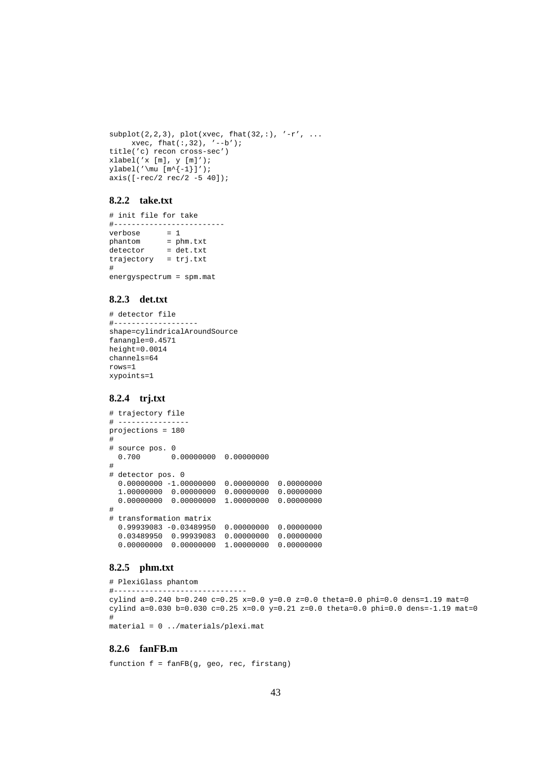```
\text{subplot}(2,2,3), \text{plot}(x\text{vec}, \text{flat}(32,:), ' -r', ...xvec, that,:32), '--b');
title('c) recon cross-sec')
xlabel('x [m], y [m]');
vlabel('\\mu [m^{-1}]');
axis([ -rec/2 rec/2 -5 40]);
```
#### **8.2.2 take.txt**

# init file for take #------------------------<br>verbose = 1 verbose<br>phantom  $=$  phm.txt detector = det.txt trajectory = trj.txt # energyspectrum = spm.mat

### **8.2.3 det.txt**

```
# detector file
# - - - -shape=cylindricalAroundSource
fanangle=0.4571
height=0.0014
channels=64
rows=1
xypoints=1
```
# **8.2.4 trj.txt**

```
# trajectory file
# ----------------
projections = 180
#
# source pos. 0
 0.700 0.00000000 0.00000000
#
# detector pos. 0
  0.00000000 -1.00000000 0.00000000 0.00000000
  1.00000000 0.00000000 0.00000000 0.00000000
  0.00000000 0.00000000 1.00000000 0.00000000
#
# transformation matrix
  0.99939083 -0.03489950 0.00000000 0.00000000
  0.03489950 0.99939083 0.00000000 0.00000000
  0.00000000 0.00000000 1.00000000 0.00000000
```
## **8.2.5 phm.txt**

```
# PlexiGlass phantom
#------------------------------
cylind a=0.240 b=0.240 c=0.25 x=0.0 y=0.0 z=0.0 theta=0.0 phi=0.0 dens=1.19 mat=0
cylind a=0.030 b=0.030 c=0.25 x=0.0 y=0.21 z=0.0 theta=0.0 phi=0.0 dens=-1.19 mat=0
#
material = 0 ../materials/plexi.mat
```
## **8.2.6 fanFB.m**

function f = fanFB(g, geo, rec, firstang)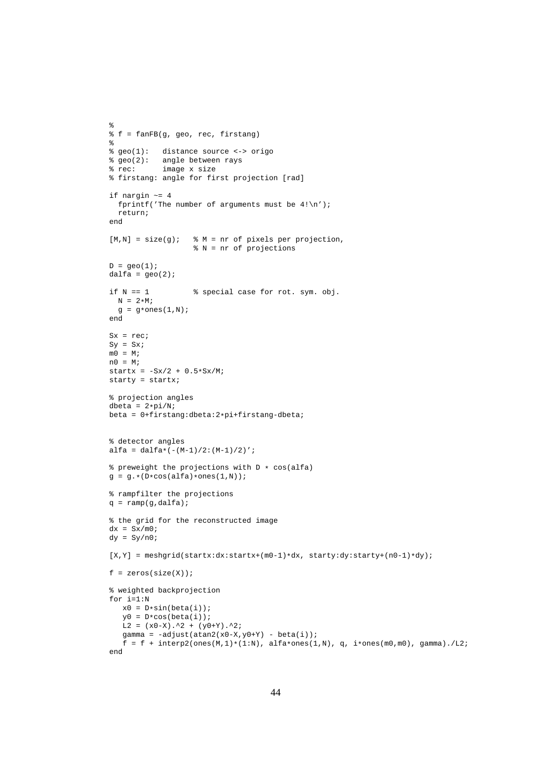```
%
% f = fanFB(g, geo, rec, firstang)
%
% geo(1): distance source <-> origo
% geo(2): angle between rays
% rec: image x size
% firstang: angle for first projection [rad]
if nargin ~= 4
  fprintf('The number of arguments must be 4!\n\times');
  return;
end
[M,N] = size(g); % M = nr of pixels per projection,
                    % N = nr of projections
D = geo(1);dalfa = qeo(2);
if N = 1 % special case for rot. sym. obj.
 N = 2*M;g = g*ones(1,N);end
Sx = rec;
\mathtt{Sy} \ = \ \mathtt{S}\mathtt{x}\, \texttt{;}m0 = M;n0 = M;
startx = -Sx/2 + 0.5*Sx/M;
starty = startx;
% projection angles
dbeta = 2*pi/Nibeta = 0+firstang:dbeta:2*pi+firstang-dbeta;
% detector angles
alfa = dalfa*(-(M-1)/2:(M-1)/2)';
% preweight the projections with D * cos(alfa)
g = g. * (D * cos(alfa) * ones(1,N));% rampfilter the projections
q = \text{ramp}(q, \text{dalfa});
% the grid for the reconstructed image
dx = Sx/m0;dy = Sy/n0;[X, Y] = \text{meshgrid}(\text{start}x:\text{start}x + (\text{m0}-1)*dx, \text{start}y:\text{dy}:\text{start}y + (\text{n0}-1)*dy);f = zeros(size(X));% weighted backprojection
for i=1:N
   x0 = D*sin(beta(i));y0 = D * cos(beta(i));L2 = (x0-X) .^2 + (y0+Y) .^2;gamma = -adjust(data2(x0-X, y0+Y) - beta(i));f = f + intexp2(ones(M,1)*(1:N), alfa*ones(1,N), q, i*ones(m0,m0), gamma). /L2;end
```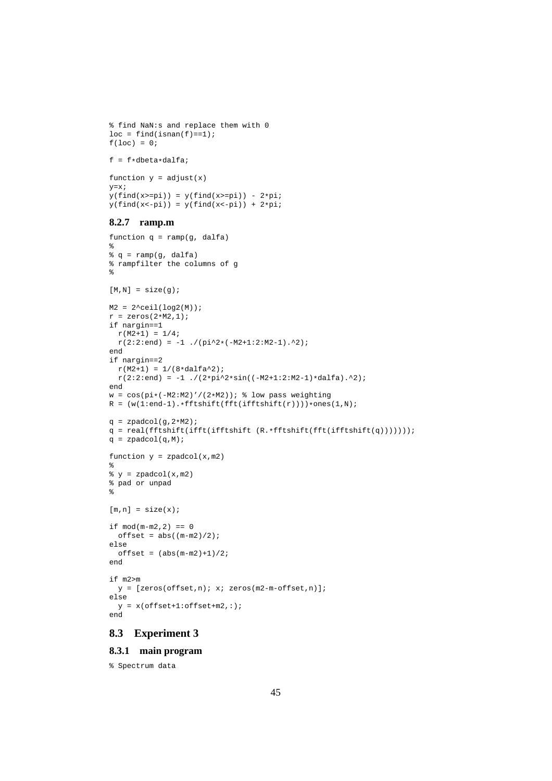```
f = f * dbeta * dalfa;
function y = adjust(x)y=x;
y(find(x)=pi)) = y(find(x)=pi)) - 2*pi;y(find(x<-pi)) = y(find(x<-pi)) + 2*pi;8.2.7 ramp.m
function q = ramp(g, dalfa)%
g = ramp(g, dalfa)% rampfilter the columns of g
%
[M,N] = size(q);M2 = 2^ceil(log2(M));
r = zeros(2*M2,1);if nargin==1
 r(M2+1) = 1/4;r(2:2:end) = -1./(pi^2*(-M2+1:2:M2-1).^2);
end
if nargin==2
  r(M2+1) = 1/(8*dalfa^2);r(2:2:end) = -1./(2*pi^2*sin((-M2+1:2:M2-1)*dalfa).^2);
end
w = \cos(p i * (-M2:M2)'/(2*M2)); % low pass weighting
R = (w(1:end-1).*fftshift(fft(iftshift(r))))*ones(1,N);q = zpadcol(g, 2*M2);q = real(fftshift(ifftshift(ifftshift(R.*fftshift(fft(ifftshift(q)))))))q = zpadcol(q,M);function y = zpadcol(x,m2)%
\gamma = \text{spadcol}(x,m2)% pad or unpad
\tilde{z}[m,n] = size(x);if mod(m-m2, 2) == 0offset = abs((m-m2)/2);else
  offset = (abs(m-m2)+1)/2;end
if m2>m
 y = [zeros(offset, n); x; zeros(m2-m-offset, n)];else
 y = x(offset+1:offset+m2,:);
end
```
% find NaN:s and replace them with 0

 $loc = find(isanan(f) == 1);$ 

 $f(loc) = 0;$ 

# **8.3 Experiment 3**

#### **8.3.1 main program**

% Spectrum data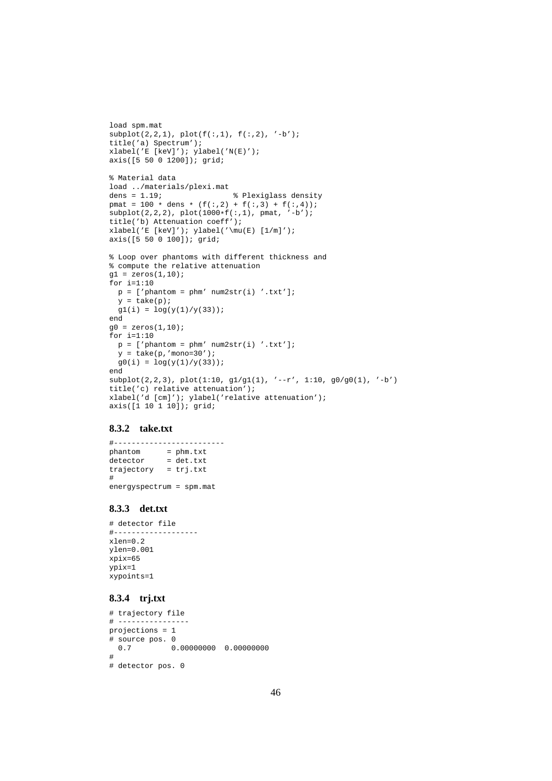```
load spm.mat
\text{subplot}(2,2,1), \text{plot}(f(:,1), f(:,2), '-b');
title('a) Spectrum');
xlabel('E [keV]'); ylabel('N(E)');
axis([5 50 0 1200]); grid;
% Material data
load ../materials/plexi.mat
dens = 1.19; <br> 8 Plexiglass density
pmat = 100 * dens * (f(:,2) + f(:,3) + f(:,4));subplot(2,2,2), plot(1000*f(:,1), pmat, '-b');
title('b) Attenuation coeff');
xlabel('E [keV]'); ylabel('\mu(E) [1/m]');
axis([5 50 0 100]); grid;
% Loop over phantoms with different thickness and
% compute the relative attenuation
gl = zeros(1, 10);for i=1:10
 p = ['phantom = phm' num2str(i) '.txt'];
 y = take(p);
 gl(i) = log(y(1)/y(33));end
g0 = zeros(1, 10);for i=1:10
 p = [ 'phantom = phm' num2str(i) '.txt'];
 y = take(p, 'mono=30');
 g0(i) = log(y(1)/y(33));end
subplot(2,2,3), plot(1:10, gl/g1(1), '--r', 1:10, gl/g0(1), '--b')title('c) relative attenuation');
xlabel('d [cm]'); ylabel('relative attenuation');
axis([1 10 1 10]); grid;
```
#### **8.3.2 take.txt**

#------------------------ phantom = phm.txt detector = det.txt trajectory = trj.txt # energyspectrum = spm.mat

#### **8.3.3 det.txt**

```
# detector file
#-------------------
xlen=0.2
ylen=0.001
xpix=65
ypix=1
xypoints=1
```
# **8.3.4 trj.txt**

```
# trajectory file
# ----------------
projections = 1
\frac{4}{1} source pos. 0<br>0.7 0
           0.7 0.00000000 0.00000000
#
# detector pos. 0
```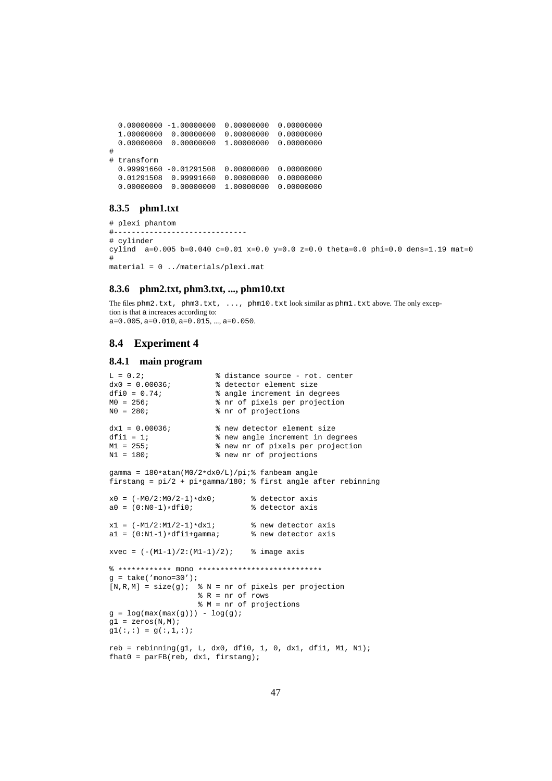```
0.00000000 -1.00000000 0.00000000 0.00000000
 1.00000000 0.00000000 0.00000000 0.00000000
 0.00000000 0.00000000 1.00000000 0.00000000
#
# transform
 0.99991660 -0.01291508 0.00000000 0.00000000
  0.01291508 0.99991660 0.00000000 0.00000000
  0.00000000 0.00000000 1.00000000 0.00000000
```
### **8.3.5 phm1.txt**

```
# plexi phantom
#------------------------------
# cylinder
cylind a=0.005 b=0.040 c=0.01 x=0.0 y=0.0 z=0.0 theta=0.0 phi=0.0 dense=1.19 mate=0.0#
material = 0 ../materials/plexi.mat
```
### **8.3.6 phm2.txt, phm3.txt, ..., phm10.txt**

The files phm2.txt, phm3.txt, ..., phm10.txt look similar as phm1.txt above. The only exception is that a increaces according to:  $a=0.005, a=0.010, a=0.015, ..., a=0.050.$ 

## **8.4 Experiment 4**

#### **8.4.1 main program**

```
L = 0.2; \frac{1}{2} \frac{1}{2} \frac{1}{2} \frac{1}{2} \frac{1}{2} \frac{1}{2} \frac{1}{2} \frac{1}{2} \frac{1}{2} \frac{1}{2} \frac{1}{2} \frac{1}{2} \frac{1}{2} \frac{1}{2} \frac{1}{2} \frac{1}{2} \frac{1}{2} \frac{1}{2} \frac{1}{2} \frac{1}{2} \frac{1}{2} dx0 = 0.00036;<br>dfi0 = 0.74;<br>\frac{1}{2} angle increment in de
dfi0 = 0.74;<br>
M0 = 256;<br>
M0 = 256;<br>
M1 = 256;<br>
M2 = 256;
M0 = 256;<br>N0 = 280;<br>Reprojections with the projections
                              % nr of projections
dx1 = 0.00036; % new detector element size
dfil = 1;<br>\frac{1}{2} anew nr of nixels per projection
                               % new nr of pixels per projection
N1 = 180; % new nr of projections
gamma = 180*atan(M0/2*dx0/L)/pi; fanbeam angle
firstang = pi/2 + pi*gamma/180; % first angle after rebinning
x0 = (-M0/2:M0/2-1)*dx0; % detector axis<br>a0 = (0:N0-1)*dfi0; % detector axis
a0 = (0:N0-1)*dfi0;x1 = (-M1/2:M1/2-1)*dx1; % new detector axis<br>a1 = (0:M1-1)*d1+qamma; % new detector axis
a1 = (0:N1-1)*diff1+qamma;xvec = (- (M1-1)/2:(M1-1)/2); % image axis
% ************ mono ****************************
q = take('mono=30');
[N,R,M] = size(g); \& N = nr of pixels per projection
                         % R = nr of rows
                         % M = nr of projections
g = log(max(max(g))) - log(g);gl = zeros(N,M);gl(:,:) = g(:,1,:);reb = rebinning(q1, L, dx0, dfi0, 1, 0, dx1, dfi1, M1, N1);that0 = parFB(reb, dx1, firstang);
```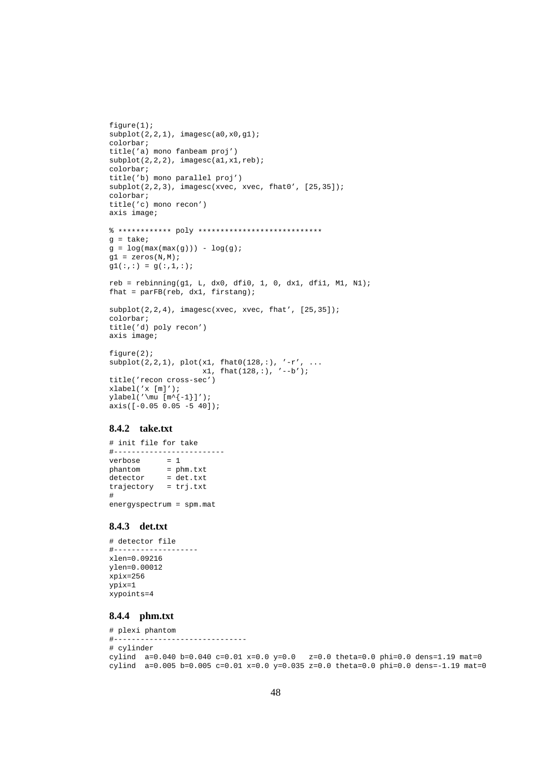```
figure(1);
subplot(2,2,1), imagesc(a0,x0,g1);colorbar;
title('a) mono fanbeam proj')
subplot(2,2,2), imagesc(a1,x1,reb);
colorbar;
title('b) mono parallel proj')
subplot(2,2,3), imagesc(xvec, xvec, fhat0', [25,35]);
colorbar;
title('c) mono recon')
axis image;
% ************ poly ****************************
g = take;
g = log(max(max(g))) - log(g);gl = zeros(N,M);gl(:,:) = g(:,1,:);reb = rebinning(g1, L, dx0, dfi0, 1, 0, dx1, dfi1, M1, N1);
fhat = parFB(reb, dx1, firstang);
subplot(2,2,4), imagesc(xvec, xvec, fhat', [25,35]);
colorbar;
title('d) poly recon')
axis image;
figure(2);
\text{subject}(2,2,1), \text{plot}(x1, \text{that}0(128,:), ' - r', ...x1, \text{flat}(128,:), \text{'}--b');title('recon cross-sec')
xlabel('x [m]');
<code>ylabel('\mu [m^{-1}]');</code>
axis([ -0.05 \ 0.05 \ -5 \ 40]);
```
#### **8.4.2 take.txt**

# init file for take #-------------------------<br>verbose = 1 verbose phantom = phm.txt detector = det.txt trajectory = trj.txt # energyspectrum = spm.mat

## **8.4.3 det.txt**

```
# detector file
#-------------------
xlen=0.09216
ylen=0.00012
xpix=256
ypix=1
xypoints=4
```
## **8.4.4 phm.txt**

```
# plexi phantom
#------------------------------
# cylinder
cylind a=0.040 b=0.040 c=0.01 x=0.0 y=0.0 z=0.0 theta=0.0 phi=0.0 dens=1.19 mat=0
cylind a=0.005 b=0.005 c=0.01 x=0.0 y=0.035 z=0.0 \text{theta}=0.0 \text{phi}=0.0 \text{dens}=-1.19 \text{mat}=0
```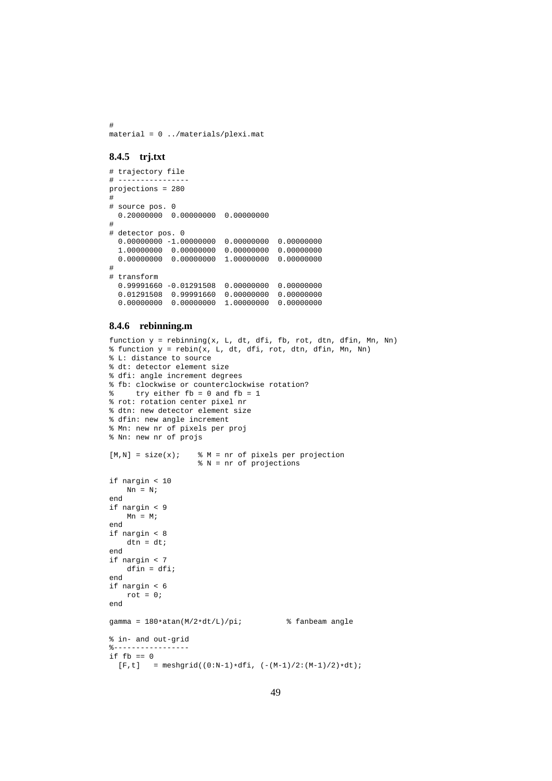# material = 0 ../materials/plexi.mat

#### **8.4.5 trj.txt**

```
# trajectory file
# ----------------
projections = 280
#
# source pos. 0
 0.20000000 0.00000000 0.00000000
#
# detector pos. 0
  0.00000000 -1.00000000 0.00000000 0.00000000
  1.00000000 0.00000000 0.00000000 0.00000000
  0.00000000 0.00000000 1.00000000 0.00000000
#
# transform
  0.99991660 -0.01291508 0.00000000 0.00000000
  0.01291508 0.99991660 0.00000000 0.00000000
  0.00000000 0.00000000 1.00000000 0.00000000
```
#### **8.4.6 rebinning.m**

```
function y = rebinning(x, L, dt, dfi, fb, rot, dtn, dfin, Mn, Nn)
% function y = rebin(x, L, dt, dfi, rot, dtn, dfin, Mn, Nn)
% L: distance to source
% dt: detector element size
% dfi: angle increment degrees
% fb: clockwise or counterclockwise rotation?
% try either fb = 0 and fb = 1
% rot: rotation center pixel nr
% dtn: new detector element size
% dfin: new angle increment
% Mn: new nr of pixels per proj
% Nn: new nr of projs
[M,N] = size(x); % M = nr of pixels per projection
                   % N = nr of projections
if nargin < 10
   Nn = N;end
if nargin < 9
   Mn = M;end
if nargin < 8
   dtn = dt;
end
if nargin < 7
   dfin = dfi;end
if nargin < 6
   rot = 0;end
gamma = 180*atan(M/2*dt/L)/pi; % fanbeam angle
% in- and out-grid
%-----------------
if fb == 0[F, t] = meshgrid((0:N-1)*dfi, (-(M-1)/2:(M-1)/2)*dt);
```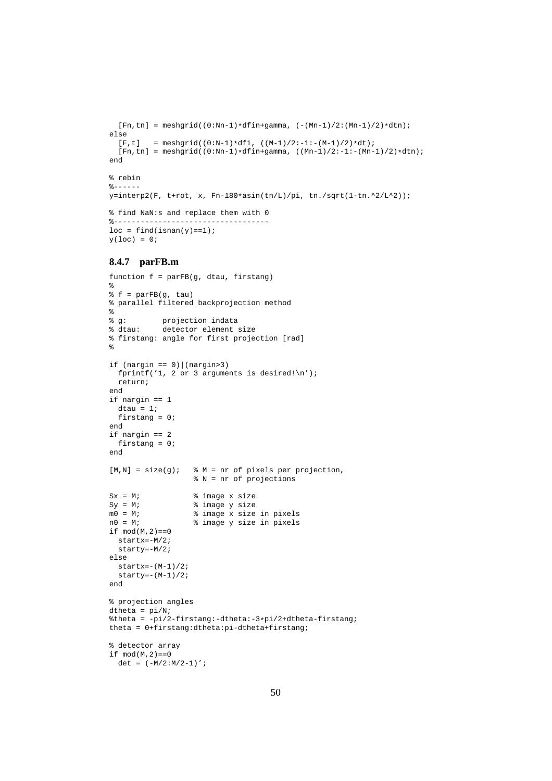```
[Fn, tn] = meshgrid((0:Nn-1)*dfin+gamma, (-(Mn-1)/2:(Mn-1)/2)*dt)]else<br>[F,t]
         = meshgrid((0:N-1)*dfi, ((M-1)/2:-1:-(M-1)/2)*dt);
  [Fn, tn] = meshgrid((0:Nn-1)*dfin+gamma, ((Mn-1)/2:-1:-(Mn-1)/2)*dt)]end
% rebin
% - - - - -y=interp2(F, t+rot, x, Fn-180*asin(tn/L)/pi, tn./sqrt(1-tn.^2/L^2));
% find NaN:s and replace them with 0
%-----------------------------------
loc = find(isan(y)=1);y(loc) = 0;
```
#### **8.4.7 parFB.m**

```
function f = parFB(g, dtau, firstang)
%
f = parFB(q, tau)% parallel filtered backprojection method
%
% g: projection indata<br>% dtau: detector element
                detector element size
% firstang: angle for first projection [rad]
\mathbf{S}if (nargin == 0) | (nargin > 3)fprintf('1, 2 or 3 arguments is desired!\n');
  return;
end
if nargin == 1
  dtau = 1;
  firstang = 0;
end
if nargin == 2
  firstang = 0;end
[M,N] = size(g); % M = nr of pixels per projection,
                           % N = nr of projections
Sx = M; \frac{1}{2} \frac{1}{2} \frac{1}{2} \frac{1}{2} \frac{1}{2} \frac{1}{2} \frac{1}{2} \frac{1}{2} \frac{1}{2} \frac{1}{2} \frac{1}{2} \frac{1}{2} \frac{1}{2} \frac{1}{2} \frac{1}{2} \frac{1}{2} \frac{1}{2} \frac{1}{2} \frac{1}{2} \frac{1}{2} \frac{1}{2} \fracSy = M;<br>
m0 = M;<br>
m0 = M;<br>
m0 = M;<br>
m0 = M;<br>
m0 = M;<br>
m0 = M;<br>
m0 = M;<br>
m0 = M;<br>
m0 = M;<br>
m0 = M;<br>
m0 = M;m0 = M; % image x size in pixels
n0 = M; % image y size in pixels
if mod(M, 2) == 0startx=-M/2;
  starty=-M/2;
else
  startx=-(M-1)/2;
  starty=-(M-1)/2;end
% projection angles
dtheta = pi/N;
%theta = -pi/2-firstang:-dtheta:-3*pi/2+dtheta-firstang;
theta = 0+firstang:dtheta:pi-dtheta+firstang;
% detector array
if mod(M, 2) == 0det = (-M/2:M/2-1)';
```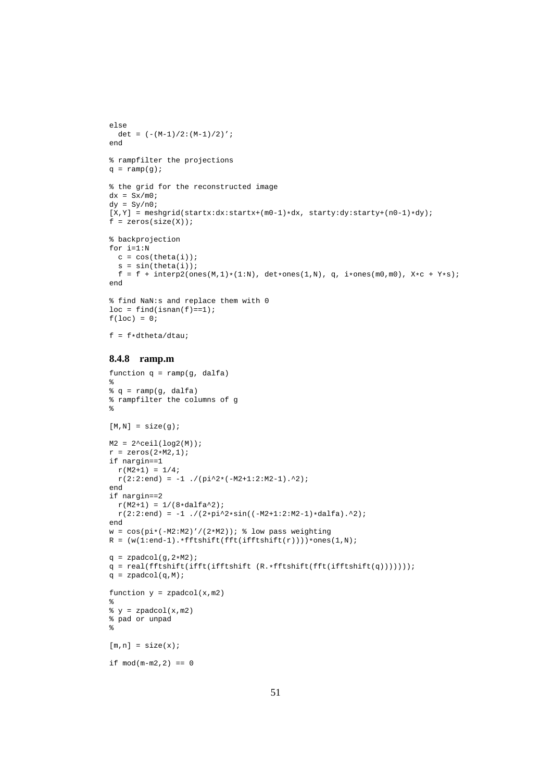```
else
 det = (-(M-1)/2:(M-1)/2)';
end
% rampfilter the projections
q = \text{ramp}(q);
% the grid for the reconstructed image
dx = Sx/m0;dy = Sy/ n0 i[X,Y] = meshgrid(stattx:dx:startx+(m0-1)*dx, starty:dy:starty+(n0-1)*dy);f = zeros(size(X));
% backprojection
for i=1:Nc = cos(theta(i));s = sin(theta(i));f = f + intexp2(ones(M,1)*(1:N), det*ones(1,N), q, i*ones(m0,m0), X*c+Y*s);end
% find NaN:s and replace them with 0
loc = find(isan(f) == 1);f(loc) = 0;f = f * dtheta / dtau8.4.8 ramp.m
function q = \text{ramp}(g, \text{ dalfa})\epsilonq = ramp(g, dalfa)% rampfilter the columns of g
%
[M,N] = size(g);M2 = 2^ceil(log2(M));
r = zeros(2*M2, 1);if nargin==1
 r(M2+1) = 1/4;r(2:2:end) = -1./(pi^2*(-M2+1:2:M2-1).<sup>2</sup>);
end
if nargin==2
 r(M2+1) = 1/(8*dalfa^2);r(2:2:end) = -1./(2*pi^2*sin((-M2+1:2:M2-1)*dalfa).^2);
end
w = \cos(p i * (-M2:M2)'/(2*M2)); % low pass weighting
R = (w(1:end-1).*fftshift(fft(ifthifthift(*))))*ones(1,N);q = zpadcol(g, 2*M2);q = real(fftshift(ifft(fftshift (R.*fftshift(fft(ifftshift(q))))));q = \text{zpadcol}(q, M);function y = zpadcol(x,m2)\epsilon\ y = \ zpadcol(x,m2)% pad or unpad
%
[m,n] = size(x);if mod(m-m2, 2) == 0
```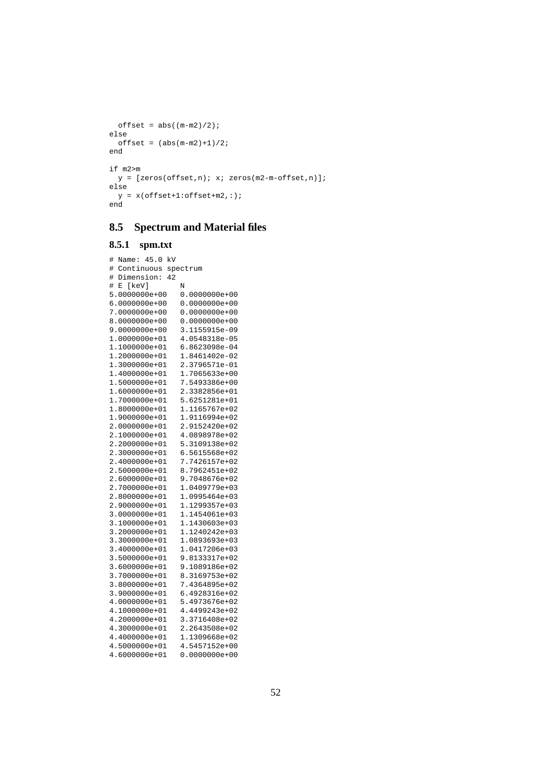```
offset = abs((m-m2)/2);else
 offset = (abs(m-m2)+1)/2;end
if m2>m
 y = [zeros(offset, n); x; zeros(m2-m-offset, n)];else
 y = x( of fset + 1: of fset + m2, : );end
```
# **8.5 Spectrum and Material files**

#### **8.5.1 spm.txt**

```
# Name: 45.0 kV
# Continuous spectrum
# Dimension: 42
# E [keV] N<br>5.0000000e+00 0
                 0.0000000e+006.0000000e+00 0.0000000e+00
                  0.0000000e+00<br>0.0000000e+008.0000000e+009.0000000e+00 3.1155915e-09
                   1.0000000e+01 4.0548318e-05
1.1000000e+01 6.8623098e-04
1.2000000e+01  1.8461402e-02<br>1.3000000e+01  2.3796571e-01
1.3000000e+01 2.3796571e-01
1.4000000e+01 1.7065633e+00
                  7.5493386e+00<br>2.3382856e+01
1.6000000e+01 2.3382856e+01
1.7000000e+01 5.6251281e+01
                  1.8000000e+01 1.1165767e+02
1.9000000e+01 1.9116994e+02
2.0000000e+01 2.9152420e+02
2.1000000e+012.2000000e+01 5.3109138e+02
                   6.5615568e+02<br>7.7426157e+02
2.4000000e+01
2.5000000e+01 8.7962451e+02
2.6000000e+012.7000000e+01 1.0409779e+03
2.8000000e+01 1.0995464e+03<br>2.9000000e+01 1.1299357e+03
                   2.9000000e+01 1.1299357e+03
3.0000000e+01 1.1454061e+03
                  1.1430603e+03<br>1.1240242e+03
3.2000000e+013.3000000e+01 1.0893693e+03
                  3.4000000e+01 1.0417206e+03
3.5000000e+01 9.8133317e+02
3.6000000e+01 9.1089186e+02
3.7000000e+01
3.8000000e+01 7.4364895e+02
3.9000000e+01<br>4.0000000e+01
                   5.4973676e+02
4.1000000e+01 4.4499243e+02
4.2000000e+014.3000000e+01 2.2643508e+02
4.4000000e+01 1.1309668e+02
4.5000000e+014.6000000e+01 0.0000000e+00
```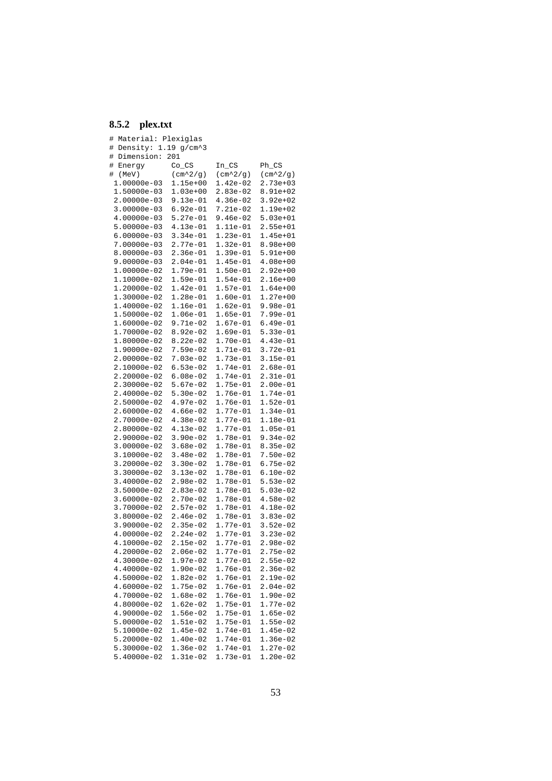# **8.5.2 plex.txt**

| #<br>Material:            | Plexiglas         |                           |                           |
|---------------------------|-------------------|---------------------------|---------------------------|
| Density: 1.19 g/cm^3<br># |                   |                           |                           |
| Dimension:<br>#           | 201               |                           |                           |
| Energy<br>#               | $Co_Cs$           | $In_CS$                   | Ph_CS                     |
| (Mev)<br>#                | $(\text{cm}^2/9)$ | $(\text{cm}^22/\text{g})$ | $(\text{cm}^22/\text{g})$ |
| 1.00000e-03               | $1.15e+00$        | 1.42e-02                  | $2.73e+03$                |
| 1.50000e-03               | $1.03e+00$        | 2.83e-02                  | 8.91e+02                  |
| 2.00000e-03               | $9.13e-01$        | $4.36e-02$                | $3.92e + 02$              |
| 3.00000e-03               | $6.92e-01$        | 7.21e-02                  | 1.19e+02                  |
| 4.00000e-03               | 5.27e-01          | $9.46e-02$                |                           |
|                           |                   |                           | 5.03e+01                  |
| 5.00000e-03               | 4.13e-01          | 1.11e-01                  | 2.55e+01                  |
| $6.00000e-03$             | $3.34e-01$        | 1.23e-01                  | 1.45e+01                  |
| 7.00000e-03               | 2.77e-01          | 1.32e-01                  | 8.98e+00                  |
| 8.00000e-03               | $2.36e-01$        | 1.39e-01                  | 5.91e+00                  |
| 9.00000e-03               | $2.04e-01$        | 1.45e-01                  | $4.08e+00$                |
| 1.00000e-02               | 1.79e-01          | 1.50e-01                  | 2.92e+00                  |
| 1.10000e-02               | 1.59e-01          | 1.54e-01                  | 2.16e+00                  |
| 1.20000e-02               | 1.42e-01          | 1.57e-01                  | $1.64e+00$                |
| 1.30000e-02               | 1.28e-01          | 1.60e-01                  | 1.27e+00                  |
| 1.40000e-02               | 1.16e-01          | 1.62e-01                  | $9.98e-01$                |
| 1.50000e-02               | $1.06e-01$        | 1.65e-01                  | 7.99e-01                  |
| 1.60000e-02               | 9.71e-02          | 1.67e-01                  | $6.49e-01$                |
| 1.70000e-02               | $8.92e-02$        | 1.69e-01                  | 5.33e-01                  |
| 1.80000e-02               | $8.22e-02$        | 1.70e-01                  | $4.43e-01$                |
| 1.90000e-02               | $7.59e-02$        | 1.71e-01                  | 3.72e-01                  |
| 2.00000e-02               | $7.03e-02$        | 1.73e-01                  | 3.15e-01                  |
|                           | $6.53e-02$        | 1.74e-01                  |                           |
| 2.10000e-02               |                   |                           | 2.68e-01                  |
| 2.20000e-02               | $6.08e-02$        | 1.74e-01                  | 2.31e-01                  |
| 2.30000e-02               | 5.67e-02          | 1.75e-01                  | $2.00e-01$                |
| 2.40000e-02               | $5.30e-02$        | 1.76e-01                  | 1.74e-01                  |
| 2.50000e-02               | $4.97e-02$        | 1.76e-01                  | 1.52e-01                  |
| 2.60000e-02               | $4.66e-02$        | 1.77e-01                  | $1.34e-01$                |
| 2.70000e-02               | $4.38e-02$        | 1.77e-01                  | 1.18e-01                  |
| 2.80000e-02               | $4.13e-02$        | 1.77e-01                  | $1.05e-01$                |
| 2.90000e-02               | $3.90e-02$        | 1.78e-01                  | $9.34e-02$                |
| 3.00000e-02               | $3.68e-02$        | 1.78e-01                  | 8.35e-02                  |
| 3.10000e-02               | $3.48e-02$        | 1.78e-01                  | $7.50e-02$                |
| 3.20000e-02               | $3.30e-02$        | 1.78e-01                  | 6.75e-02                  |
| 3.30000e-02               | $3.13e-02$        | 1.78e-01                  | 6.10e-02                  |
| 3.40000e-02               | $2.98e-02$        | 1.78e-01                  | 5.53e-02                  |
| 3.50000e-02               | 2.83e-02          | 1.78e-01                  | $5.03e-02$                |
| 3.60000e-02               | $2.70e-02$        | 1.78e-01                  | $4.58e-02$                |
| 3.70000e-02               | 2.57e-02          | 1.78e-01                  | $4.18e-02$                |
| 3.80000e-02               | 2.46e-02          | 1.78e-01                  | $3.83e-02$                |
| 3.90000e-02               | $2.35e-02$        | 1.77e-01                  | $3.52e-02$                |
|                           |                   |                           |                           |
| 4.00000e-02               | $2.24e-02$        | 1.77e-01                  | 3.23e-02                  |
| 4.10000e-02               | $2.15e-02$        | 1.77e-01                  | 2.98e-02                  |
| 4.20000e-02               | 2.06e-02          | 1.77e-01                  | $2.75e-02$                |
| 4.30000e-02               | 1.97e-02          | 1.77e-01                  | 2.55e-02                  |
| 4.40000e-02               | 1.90e-02          | 1.76e-01                  | 2.36e-02                  |
| 4.50000e-02               | 1.82e-02          | 1.76e-01                  | $2.19e-02$                |
| 4.60000e-02               | 1.75e-02          | 1.76e-01                  | $2.04e-02$                |
| 4.70000e-02               | 1.68e-02          | 1.76e-01                  | 1.90e-02                  |
| 4.80000e-02               | $1.62e-02$        | 1.75e-01                  | 1.77e-02                  |
| 4.90000e-02               | 1.56e-02          | 1.75e-01                  | $1.65e-02$                |
| 5.00000e-02               | $1.51e-02$        | 1.75e-01                  | 1.55e-02                  |
| 5.10000e-02               | 1.45e-02          | 1.74e-01                  | 1.45e-02                  |
| 5.20000e-02               | $1.40e-02$        | 1.74e-01                  | 1.36e-02                  |
| 5.30000e-02               | $1.36e-02$        | 1.74e-01                  | $1.27e-02$                |
| 5.40000e-02               | $1.31e-02$        | 1.73e-01                  | $1.20e-02$                |
|                           |                   |                           |                           |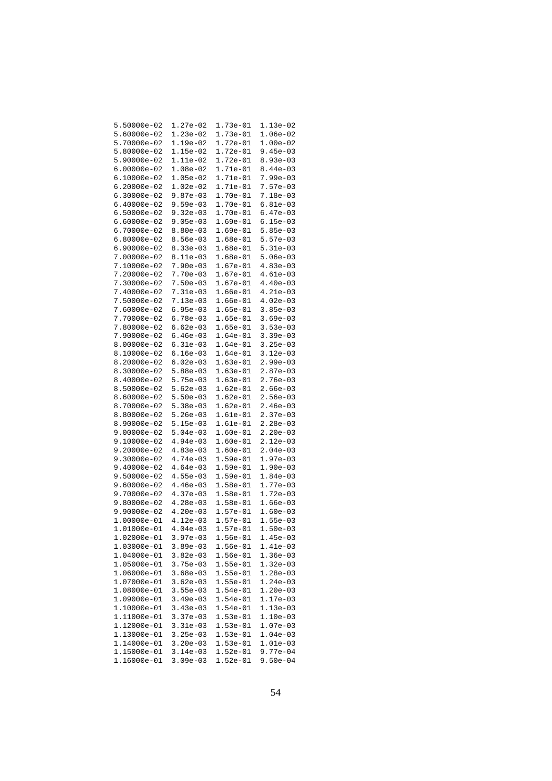| 5.50000e-02     | 1.27e-02   | 1.73e-01   | 1.13e-02   |
|-----------------|------------|------------|------------|
| $5.60000e-02$   | $1.23e-02$ | 1.73e-01   | $1.06e-02$ |
| 5.70000e-02     | 1.19e-02   | 1.72e-01   | $1.00e-02$ |
|                 |            |            |            |
| 5.80000e-02     | $1.15e-02$ | $1.72e-01$ | $9.45e-03$ |
| 5.90000e-02     | 1.11e-02   | 1.72e-01   | $8.93e-03$ |
| $6.00000e-02$   | $1.08e-02$ | 1.71e-01   | $8.44e-03$ |
| $6.10000e-02$   | $1.05e-02$ | 1.71e-01   | $7.99e-03$ |
| $6.20000e-02$   | $1.02e-02$ | 1.71e-01   | $7.57e-03$ |
| $6.30000e - 02$ | $9.87e-03$ | 1.70e-01   | 7.18e-03   |
| $6.40000e-02$   | $9.59e-03$ | 1.70e-01   | $6.81e-03$ |
| $6.50000e-02$   | $9.32e-03$ | $1.70e-01$ | $6.47e-03$ |
|                 |            |            |            |
| $6.60000e-02$   | $9.05e-03$ | $1.69e-01$ | $6.15e-03$ |
| $6.70000e - 02$ | $8.80e-03$ | $1.69e-01$ | $5.85e-03$ |
| $6.80000e-02$   | $8.56e-03$ | 1.68e-01   | $5.57e-03$ |
| $6.90000e-02$   | $8.33e-03$ | 1.68e-01   | $5.31e-03$ |
| 7.00000e-02     | 8.11e-03   | 1.68e-01   | $5.06e-03$ |
| 7.10000e-02     | $7.90e-03$ | $1.67e-01$ | $4.83e-03$ |
| 7.20000e-02     | 7.70e-03   | $1.67e-01$ | $4.61e-03$ |
| 7.30000e-02     | $7.50e-03$ | $1.67e-01$ | $4.40e-03$ |
| 7.40000e-02     | $7.31e-03$ | $1.66e-01$ | $4.21e-03$ |
|                 |            |            |            |
| 7.50000e-02     | $7.13e-03$ | 1.66e-01   | $4.02e-03$ |
| 7.60000e-02     | $6.95e-03$ | 1.65e-01   | $3.85e-03$ |
| 7.70000e-02     | $6.78e-03$ | $1.65e-01$ | $3.69e-03$ |
| 7.80000e-02     | $6.62e-03$ | $1.65e-01$ | $3.53e-03$ |
| 7.90000e-02     | $6.46e-03$ | $1.64e-01$ | $3.39e-03$ |
| 8.00000e-02     | 6.31e-03   | 1.64e-01   | $3.25e-03$ |
| 8.10000e-02     | $6.16e-03$ | 1.64e-01   | $3.12e-03$ |
| 8.20000e-02     | $6.02e-03$ | $1.63e-01$ | $2.99e-03$ |
|                 |            |            |            |
| 8.30000e-02     | $5.88e-03$ | $1.63e-01$ | $2.87e-03$ |
| 8.40000e-02     | $5.75e-03$ | $1.63e-01$ | $2.76e-03$ |
| 8.50000e-02     | $5.62e-03$ | $1.62e-01$ | $2.66e-03$ |
| 8.60000e-02     | $5.50e-03$ | 1.62e-01   | $2.56e-03$ |
| 8.70000e-02     | $5.38e-03$ | $1.62e-01$ | $2.46e-03$ |
| 8.80000e-02     | $5.26e-03$ | 1.61e-01   | 2.37e-03   |
| 8.90000e-02     | $5.15e-03$ | 1.61e-01   | $2.28e-03$ |
| $9.00000e-02$   | $5.04e-03$ | $1.60e-01$ | $2.20e-03$ |
| 9.10000e-02     | $4.94e-03$ | $1.60e-01$ | $2.12e-03$ |
| $9.20000e-02$   | $4.83e-03$ | $1.60e-01$ | 2.04e-03   |
|                 |            |            |            |
| 9.30000e-02     | $4.74e-03$ | $1.59e-01$ | $1.97e-03$ |
| 9.40000e-02     | $4.64e-03$ | $1.59e-01$ | $1.90e-03$ |
| 9.50000e-02     | $4.55e-03$ | 1.59e-01   | $1.84e-03$ |
| $9.60000e-02$   | $4.46e-03$ | 1.58e-01   | 1.77e-03   |
| $9.70000e-02$   | $4.37e-03$ | 1.58e-01   | 1.72e-03   |
| 9.80000e-02     | $4.28e-03$ | $1.58e-01$ | $1.66e-03$ |
| 9.90000e-02     | $4.20e-03$ | $1.57e-01$ | $1.60e-03$ |
| 1.00000e-01     | $4.12e-03$ | $1.57e-01$ | $1.55e-03$ |
| 1.01000e-01     | $4.04e-03$ | $1.57e-01$ | $1.50e-03$ |
|                 |            |            |            |
| 1.02000e-01     | $3.97e-03$ | 1.56e-01   | 1.45e-03   |
| 1.03000e-01     | 3.89e-03   | 1.56e-01   | 1.41e-03   |
| 1.04000e-01     | $3.82e-03$ | $1.56e-01$ | $1.36e-03$ |
| 1.05000e-01     | 3.75e-03   | $1.55e-01$ | 1.32e-03   |
| 1.06000e-01     | $3.68e-03$ | $1.55e-01$ | 1.28e-03   |
| 1.07000e-01     | $3.62e-03$ | 1.55e-01   | $1.24e-03$ |
| 1.08000e-01     | $3.55e-03$ | $1.54e-01$ | 1.20e-03   |
| 1.09000e-01     | $3.49e-03$ | 1.54e-01   | 1.17e-03   |
| 1.10000e-01     | 3.43e-03   | $1.54e-01$ | 1.13e-03   |
|                 | 3.37e-03   | 1.53e-01   |            |
| 1.11000e-01     |            |            | 1.10e-03   |
| 1.12000e-01     | 3.31e-03   | $1.53e-01$ | $1.07e-03$ |
| 1.13000e-01     | $3.25e-03$ | 1.53e-01   | 1.04e-03   |
| 1.14000e-01     | $3.20e-03$ | 1.53e-01   | $1.01e-03$ |
| 1.15000e-01     | $3.14e-03$ | $1.52e-01$ | 9.77e-04   |
| 1.16000e-01     | $3.09e-03$ | 1.52e-01   | 9.50e-04   |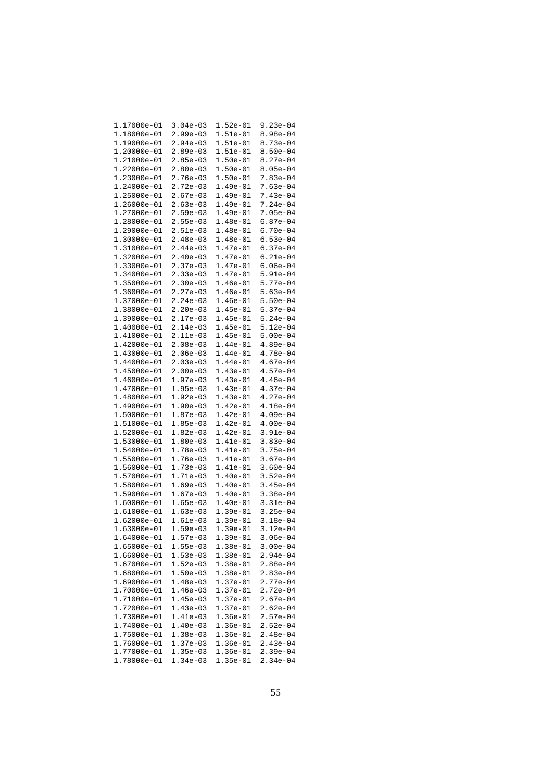| 1.17000e-01 | $3.04e-03$ | 1.52e-01   | $9.23e-04$ |
|-------------|------------|------------|------------|
| 1.18000e-01 | $2.99e-03$ | 1.51e-01   | $8.98e-04$ |
| 1.19000e-01 | $2.94e-03$ | 1.51e-01   | $8.73e-04$ |
|             |            | $1.51e-01$ |            |
| 1.20000e-01 | $2.89e-03$ |            | $8.50e-04$ |
| 1.21000e-01 | $2.85e-03$ | $1.50e-01$ | $8.27e-04$ |
| 1.22000e-01 | $2.80e-03$ | 1.50e-01   | $8.05e-04$ |
| 1.23000e-01 | $2.76e-03$ | 1.50e-01   | $7.83e-04$ |
| 1.24000e-01 | 2.72e-03   | 1.49e-01   | $7.63e-04$ |
| 1.25000e-01 | $2.67e-03$ | 1.49e-01   | $7.43e-04$ |
| 1.26000e-01 | $2.63e-03$ | $1.49e-01$ | $7.24e-04$ |
| 1.27000e-01 | $2.59e-03$ | $1.49e-01$ | $7.05e-04$ |
| 1.28000e-01 | $2.55e-03$ | $1.48e-01$ | $6.87e-04$ |
| 1.29000e-01 | $2.51e-03$ | 1.48e-01   | $6.70e-04$ |
|             |            |            |            |
| 1.30000e-01 | $2.48e-03$ | 1.48e-01   | $6.53e-04$ |
| 1.31000e-01 | $2.44e-03$ | 1.47e-01   | $6.37e-04$ |
| 1.32000e-01 | $2.40e-03$ | $1.47e-01$ | $6.21e-04$ |
| 1.33000e-01 | $2.37e-03$ | $1.47e-01$ | $6.06e-04$ |
| 1.34000e-01 | $2.33e-03$ | 1.47e-01   | $5.91e-04$ |
| 1.35000e-01 | $2.30e-03$ | $1.46e-01$ | $5.77e-04$ |
| 1.36000e-01 | $2.27e-03$ | $1.46e-01$ | $5.63e-04$ |
| 1.37000e-01 | $2.24e-03$ | $1.46e-01$ | $5.50e-04$ |
| 1.38000e-01 | $2.20e-03$ | 1.45e-01   | $5.37e-04$ |
| 1.39000e-01 | 2.17e-03   | 1.45e-01   | $5.24e-04$ |
| 1.40000e-01 |            |            | $5.12e-04$ |
|             | $2.14e-03$ | $1.45e-01$ |            |
| 1.41000e-01 | $2.11e-03$ | $1.45e-01$ | $5.00e-04$ |
| 1.42000e-01 | $2.08e-03$ | $1.44e-01$ | $4.89e-04$ |
| 1.43000e-01 | $2.06e-03$ | 1.44e-01   | $4.78e-04$ |
| 1.44000e-01 | $2.03e-03$ | 1.44e-01   | $4.67e-04$ |
| 1.45000e-01 | $2.00e-03$ | $1.43e-01$ | $4.57e-04$ |
| 1.46000e-01 | $1.97e-03$ | 1.43e-01   | $4.46e-04$ |
| 1.47000e-01 | $1.95e-03$ | 1.43e-01   | $4.37e-04$ |
| 1.48000e-01 | $1.92e-03$ | 1.43e-01   | $4.27e-04$ |
| 1.49000e-01 | $1.90e-03$ | $1.42e-01$ | $4.18e-04$ |
| 1.50000e-01 | $1.87e-03$ | $1.42e-01$ | $4.09e-04$ |
| 1.51000e-01 | $1.85e-03$ | $1.42e-01$ | $4.00e-04$ |
| 1.52000e-01 | $1.82e-03$ | $1.42e-01$ | $3.91e-04$ |
| 1.53000e-01 | $1.80e-03$ | 1.41e-01   | $3.83e-04$ |
| 1.54000e-01 | 1.78e-03   | 1.41e-01   | $3.75e-04$ |
|             |            |            |            |
| 1.55000e-01 | $1.76e-03$ | 1.41e-01   | $3.67e-04$ |
| 1.56000e-01 | $1.73e-03$ | 1.41e-01   | $3.60e-04$ |
| 1.57000e-01 | 1.71e-03   | 1.40e-01   | $3.52e-04$ |
| 1.58000e-01 | $1.69e-03$ | $1.40e-01$ | $3.45e-04$ |
| 1.59000e-01 | $1.67e-03$ | 1.40e-01   | $3.38e-04$ |
| 1.60000e-01 | $1.65e-03$ | 1.40e-01   | $3.31e-04$ |
| 1.61000e-01 | $1.63e-03$ | $1.39e-01$ | $3.25e-04$ |
| 1.62000e-01 | $1.61e-03$ | $1.39e-01$ | $3.18e-04$ |
| 1.63000e-01 | $1.59e-03$ | $1.39e-01$ | $3.12e-04$ |
| 1.64000e-01 | l.57e-03   | 1.39e-01   | 3.06e-04   |
| 1.65000e-01 | 1.55e-03   | 1.38e-01   | 3.00e-04   |
| 1.66000e-01 | $1.53e-03$ | 1.38e-01   | 2.94e-04   |
|             |            |            |            |
| 1.67000e-01 | $1.52e-03$ | 1.38e-01   | 2.88e-04   |
| 1.68000e-01 | $1.50e-03$ | 1.38e-01   | 2.83e-04   |
| 1.69000e-01 | 1.48e-03   | 1.37e-01   | 2.77e-04   |
| 1.70000e-01 | $1.46e-03$ | 1.37e-01   | $2.72e-04$ |
| 1.71000e-01 | 1.45e-03   | 1.37e-01   | 2.67e-04   |
| 1.72000e-01 | 1.43e-03   | 1.37e-01   | 2.62e-04   |
| 1.73000e-01 | 1.41e-03   | 1.36e-01   | $2.57e-04$ |
| 1.74000e-01 | $1.40e-03$ | 1.36e-01   | 2.52e-04   |
| 1.75000e-01 | $1.38e-03$ | 1.36e-01   | 2.48e-04   |
| 1.76000e-01 | 1.37e-03   | 1.36e-01   | 2.43e-04   |
| 1.77000e-01 | 1.35e-03   | 1.36e-01   | 2.39e-04   |
| 1.78000e-01 | 1.34e-03   | 1.35e-01   | 2.34e-04   |